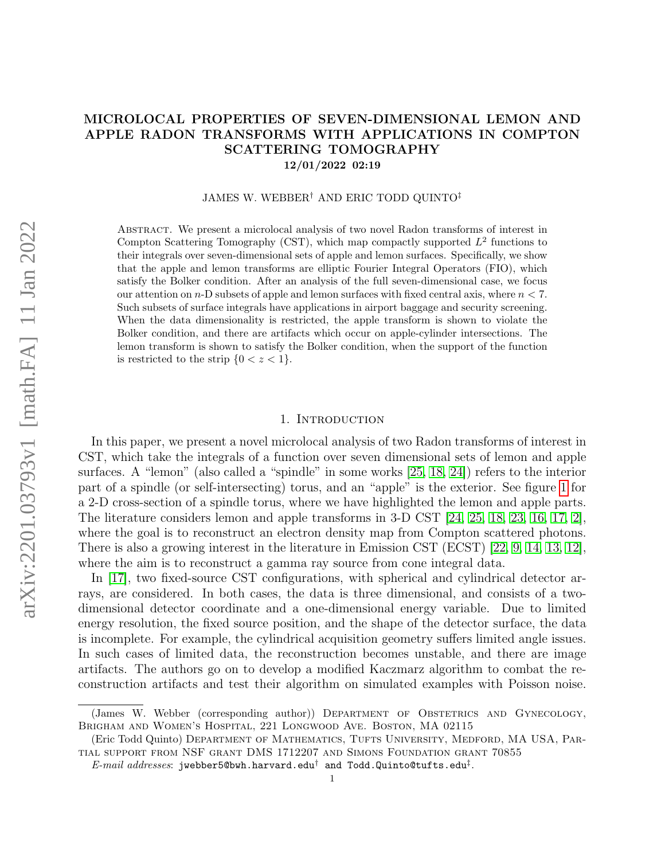# MICROLOCAL PROPERTIES OF SEVEN-DIMENSIONAL LEMON AND APPLE RADON TRANSFORMS WITH APPLICATIONS IN COMPTON SCATTERING TOMOGRAPHY

12/01/2022 02:19

#### JAMES W. WEBBER† AND ERIC TODD QUINTO‡

Abstract. We present a microlocal analysis of two novel Radon transforms of interest in Compton Scattering Tomography (CST), which map compactly supported  $L^2$  functions to their integrals over seven-dimensional sets of apple and lemon surfaces. Specifically, we show that the apple and lemon transforms are elliptic Fourier Integral Operators (FIO), which satisfy the Bolker condition. After an analysis of the full seven-dimensional case, we focus our attention on  $n$ -D subsets of apple and lemon surfaces with fixed central axis, where  $n < 7$ . Such subsets of surface integrals have applications in airport baggage and security screening. When the data dimensionality is restricted, the apple transform is shown to violate the Bolker condition, and there are artifacts which occur on apple-cylinder intersections. The lemon transform is shown to satisfy the Bolker condition, when the support of the function is restricted to the strip  ${0 < z < 1}$ .

# 1. INTRODUCTION

In this paper, we present a novel microlocal analysis of two Radon transforms of interest in CST, which take the integrals of a function over seven dimensional sets of lemon and apple surfaces. A "lemon" (also called a "spindle" in some works [\[25,](#page-28-0) [18,](#page-28-1) [24\]](#page-28-2)) refers to the interior part of a spindle (or self-intersecting) torus, and an "apple" is the exterior. See figure [1](#page-1-0) for a 2-D cross-section of a spindle torus, where we have highlighted the lemon and apple parts. The literature considers lemon and apple transforms in 3-D CST [\[24,](#page-28-2) [25,](#page-28-0) [18,](#page-28-1) [23,](#page-28-3) [16,](#page-28-4) [17,](#page-28-5) [2\]](#page-27-0), where the goal is to reconstruct an electron density map from Compton scattered photons. There is also a growing interest in the literature in Emission CST (ECST) [\[22,](#page-28-6) [9,](#page-27-1) [14,](#page-28-7) [13,](#page-28-8) [12\]](#page-28-9), where the aim is to reconstruct a gamma ray source from cone integral data.

In [\[17\]](#page-28-5), two fixed-source CST configurations, with spherical and cylindrical detector arrays, are considered. In both cases, the data is three dimensional, and consists of a twodimensional detector coordinate and a one-dimensional energy variable. Due to limited energy resolution, the fixed source position, and the shape of the detector surface, the data is incomplete. For example, the cylindrical acquisition geometry suffers limited angle issues. In such cases of limited data, the reconstruction becomes unstable, and there are image artifacts. The authors go on to develop a modified Kaczmarz algorithm to combat the reconstruction artifacts and test their algorithm on simulated examples with Poisson noise.

<sup>(</sup>James W. Webber (corresponding author)) Department of Obstetrics and Gynecology, Brigham and Women's Hospital, 221 Longwood Ave. Boston, MA 02115

<sup>(</sup>Eric Todd Quinto) DEPARTMENT OF MATHEMATICS, TUFTS UNIVERSITY, MEDFORD, MA USA, PARtial support from NSF grant DMS 1712207 and Simons Foundation grant 70855

 $E\text{-}mail\; addresses: \texttt{jwebber5@bwh.harvard.edu}^\dagger \texttt{and} \texttt{Todd}.Quinto@tufts.edu}^\ddagger.$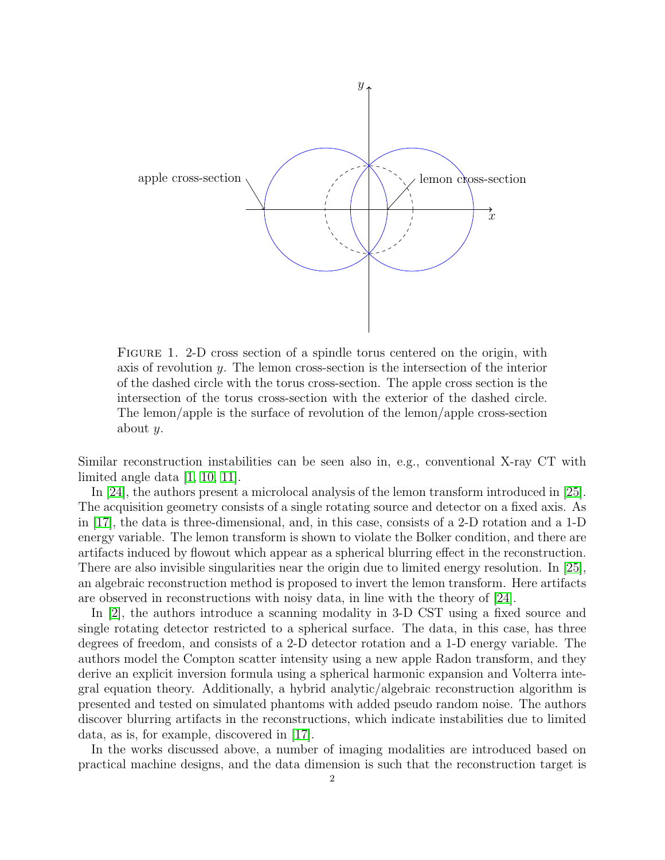<span id="page-1-0"></span>

FIGURE 1. 2-D cross section of a spindle torus centered on the origin, with axis of revolution y. The lemon cross-section is the intersection of the interior of the dashed circle with the torus cross-section. The apple cross section is the intersection of the torus cross-section with the exterior of the dashed circle. The lemon/apple is the surface of revolution of the lemon/apple cross-section about y.

Similar reconstruction instabilities can be seen also in, e.g., conventional X-ray CT with limited angle data [\[1,](#page-27-2) [10,](#page-27-3) [11\]](#page-27-4).

In [\[24\]](#page-28-2), the authors present a microlocal analysis of the lemon transform introduced in [\[25\]](#page-28-0). The acquisition geometry consists of a single rotating source and detector on a fixed axis. As in [\[17\]](#page-28-5), the data is three-dimensional, and, in this case, consists of a 2-D rotation and a 1-D energy variable. The lemon transform is shown to violate the Bolker condition, and there are artifacts induced by flowout which appear as a spherical blurring effect in the reconstruction. There are also invisible singularities near the origin due to limited energy resolution. In [\[25\]](#page-28-0), an algebraic reconstruction method is proposed to invert the lemon transform. Here artifacts are observed in reconstructions with noisy data, in line with the theory of [\[24\]](#page-28-2).

In [\[2\]](#page-27-0), the authors introduce a scanning modality in 3-D CST using a fixed source and single rotating detector restricted to a spherical surface. The data, in this case, has three degrees of freedom, and consists of a 2-D detector rotation and a 1-D energy variable. The authors model the Compton scatter intensity using a new apple Radon transform, and they derive an explicit inversion formula using a spherical harmonic expansion and Volterra integral equation theory. Additionally, a hybrid analytic/algebraic reconstruction algorithm is presented and tested on simulated phantoms with added pseudo random noise. The authors discover blurring artifacts in the reconstructions, which indicate instabilities due to limited data, as is, for example, discovered in [\[17\]](#page-28-5).

In the works discussed above, a number of imaging modalities are introduced based on practical machine designs, and the data dimension is such that the reconstruction target is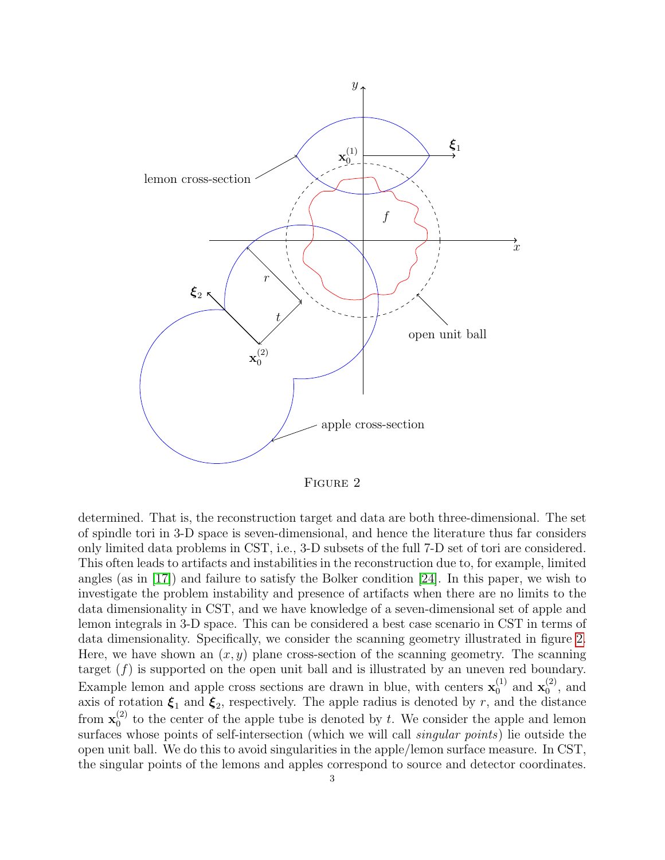<span id="page-2-0"></span>

Figure 2

determined. That is, the reconstruction target and data are both three-dimensional. The set of spindle tori in 3-D space is seven-dimensional, and hence the literature thus far considers only limited data problems in CST, i.e., 3-D subsets of the full 7-D set of tori are considered. This often leads to artifacts and instabilities in the reconstruction due to, for example, limited angles (as in [\[17\]](#page-28-5)) and failure to satisfy the Bolker condition [\[24\]](#page-28-2). In this paper, we wish to investigate the problem instability and presence of artifacts when there are no limits to the data dimensionality in CST, and we have knowledge of a seven-dimensional set of apple and lemon integrals in 3-D space. This can be considered a best case scenario in CST in terms of data dimensionality. Specifically, we consider the scanning geometry illustrated in figure [2.](#page-2-0) Here, we have shown an  $(x, y)$  plane cross-section of the scanning geometry. The scanning target  $(f)$  is supported on the open unit ball and is illustrated by an uneven red boundary. Example lemon and apple cross sections are drawn in blue, with centers  $\mathbf{x}_0^{(1)}$  $_0^{(1)}$  and  $\mathbf{x}_0^{(2)}$  $_0^{(2)}$ , and axis of rotation  $\xi_1$  and  $\xi_2$ , respectively. The apple radius is denoted by r, and the distance from  $\mathbf{x}_0^{(2)}$  $_0^{(2)}$  to the center of the apple tube is denoted by t. We consider the apple and lemon surfaces whose points of self-intersection (which we will call *singular points*) lie outside the open unit ball. We do this to avoid singularities in the apple/lemon surface measure. In CST, the singular points of the lemons and apples correspond to source and detector coordinates.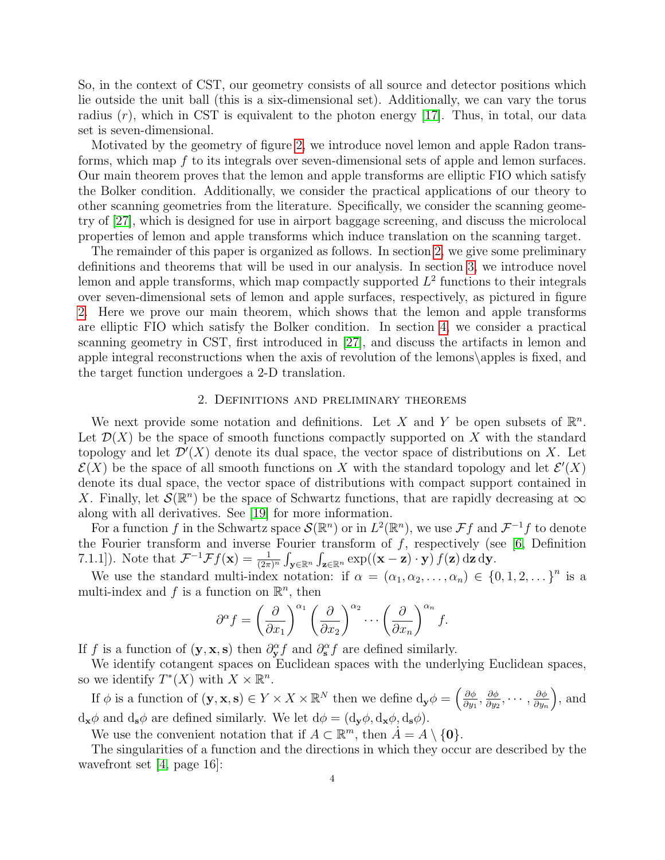So, in the context of CST, our geometry consists of all source and detector positions which lie outside the unit ball (this is a six-dimensional set). Additionally, we can vary the torus radius  $(r)$ , which in CST is equivalent to the photon energy [\[17\]](#page-28-5). Thus, in total, our data set is seven-dimensional.

Motivated by the geometry of figure [2,](#page-2-0) we introduce novel lemon and apple Radon transforms, which map f to its integrals over seven-dimensional sets of apple and lemon surfaces. Our main theorem proves that the lemon and apple transforms are elliptic FIO which satisfy the Bolker condition. Additionally, we consider the practical applications of our theory to other scanning geometries from the literature. Specifically, we consider the scanning geometry of [\[27\]](#page-28-10), which is designed for use in airport baggage screening, and discuss the microlocal properties of lemon and apple transforms which induce translation on the scanning target.

The remainder of this paper is organized as follows. In section [2,](#page-3-0) we give some preliminary definitions and theorems that will be used in our analysis. In section [3,](#page-6-0) we introduce novel lemon and apple transforms, which map compactly supported  $L^2$  functions to their integrals over seven-dimensional sets of lemon and apple surfaces, respectively, as pictured in figure [2.](#page-2-0) Here we prove our main theorem, which shows that the lemon and apple transforms are elliptic FIO which satisfy the Bolker condition. In section [4,](#page-19-0) we consider a practical scanning geometry in CST, first introduced in [\[27\]](#page-28-10), and discuss the artifacts in lemon and apple integral reconstructions when the axis of revolution of the lemons\apples is fixed, and the target function undergoes a 2-D translation.

# 2. Definitions and preliminary theorems

<span id="page-3-0"></span>We next provide some notation and definitions. Let X and Y be open subsets of  $\mathbb{R}^n$ . Let  $\mathcal{D}(X)$  be the space of smooth functions compactly supported on X with the standard topology and let  $\mathcal{D}'(X)$  denote its dual space, the vector space of distributions on X. Let  $\mathcal{E}(X)$  be the space of all smooth functions on X with the standard topology and let  $\mathcal{E}'(X)$ denote its dual space, the vector space of distributions with compact support contained in X. Finally, let  $\mathcal{S}(\mathbb{R}^n)$  be the space of Schwartz functions, that are rapidly decreasing at  $\infty$ along with all derivatives. See [\[19\]](#page-28-11) for more information.

For a function f in the Schwartz space  $\mathcal{S}(\mathbb{R}^n)$  or in  $L^2(\mathbb{R}^n)$ , we use  $\mathcal{F}f$  and  $\mathcal{F}^{-1}f$  to denote the Fourier transform and inverse Fourier transform of  $f$ , respectively (see [\[6,](#page-27-5) Definition 7.1.1]). Note that  $\mathcal{F}^{-1}\mathcal{F}f(\mathbf{x}) = \frac{1}{(2\pi)^n} \int_{\mathbf{y}\in\mathbb{R}^n} \int_{\mathbf{z}\in\mathbb{R}^n} \exp((\mathbf{x}-\mathbf{z})\cdot \mathbf{y}) f(\mathbf{z}) d\mathbf{z} d\mathbf{y}$ .

We use the standard multi-index notation: if  $\alpha = (\alpha_1, \alpha_2, \ldots, \alpha_n) \in \{0, 1, 2, \ldots\}^n$  is a multi-index and f is a function on  $\mathbb{R}^n$ , then

$$
\partial^{\alpha} f = \left(\frac{\partial}{\partial x_1}\right)^{\alpha_1} \left(\frac{\partial}{\partial x_2}\right)^{\alpha_2} \cdots \left(\frac{\partial}{\partial x_n}\right)^{\alpha_n} f.
$$

If f is a function of  $(\mathbf{y}, \mathbf{x}, \mathbf{s})$  then  $\partial_{\mathbf{y}}^{\alpha} f$  and  $\partial_{\mathbf{s}}^{\alpha} f$  are defined similarly.

We identify cotangent spaces on Euclidean spaces with the underlying Euclidean spaces, so we identify  $T^*(X)$  with  $X \times \mathbb{R}^n$ .

If  $\phi$  is a function of  $(\mathbf{y}, \mathbf{x}, \mathbf{s}) \in Y \times X \times \mathbb{R}^N$  then we define  $d_{\mathbf{y}} \phi = \begin{pmatrix} \frac{\partial \phi}{\partial m} & \frac{\partial \phi}{\partial m} \end{pmatrix}$  $\frac{\partial \phi}{\partial y_1}, \frac{\partial \phi}{\partial y_2}$  $\frac{\partial \phi}{\partial y_2}, \cdots, \frac{\partial \phi}{\partial y_n}$  $\partial y_n$  $\big)$ , and  $d_{\mathbf{x}}\phi$  and  $d_{\mathbf{s}}\phi$  are defined similarly. We let  $d\phi = (d_{\mathbf{y}}\phi, d_{\mathbf{x}}\phi, d_{\mathbf{s}}\phi)$ .

We use the convenient notation that if  $A \subset \mathbb{R}^m$ , then  $A = A \setminus \{0\}.$ 

The singularities of a function and the directions in which they occur are described by the wavefront set [\[4,](#page-27-6) page 16]: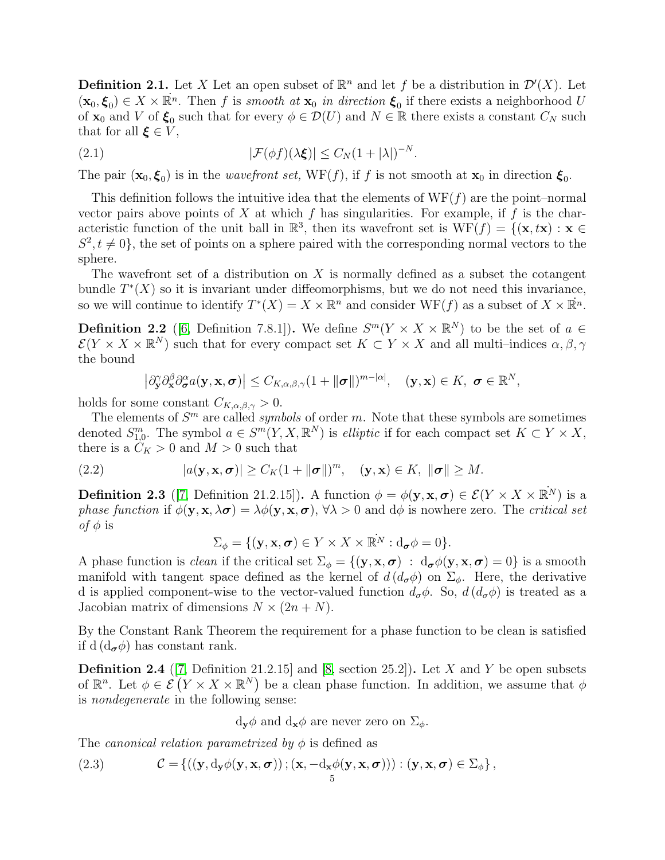**Definition 2.1.** Let X Let an open subset of  $\mathbb{R}^n$  and let f be a distribution in  $\mathcal{D}'(X)$ . Let  $(\mathbf{x}_0, \boldsymbol{\xi}_0) \in X \times \mathbb{R}^n$ . Then f is smooth at  $\mathbf{x}_0$  in direction  $\boldsymbol{\xi}_0$  if there exists a neighborhood U of  $\mathbf{x}_0$  and V of  $\xi_0$  such that for every  $\phi \in \mathcal{D}(U)$  and  $N \in \mathbb{R}$  there exists a constant  $C_N$  such that for all  $\xi \in V$ ,

(2.1) 
$$
|\mathcal{F}(\phi f)(\lambda \boldsymbol{\xi})| \leq C_N (1+|\lambda|)^{-N}.
$$

The pair  $(\mathbf{x}_0, \boldsymbol{\xi}_0)$  is in the *wavefront set*,  $WF(f)$ , if f is not smooth at  $\mathbf{x}_0$  in direction  $\boldsymbol{\xi}_0$ .

This definition follows the intuitive idea that the elements of  $WF(f)$  are the point–normal vector pairs above points of X at which f has singularities. For example, if f is the characteristic function of the unit ball in  $\mathbb{R}^3$ , then its wavefront set is  $WF(f) = \{(\mathbf{x}, t\mathbf{x}) : \mathbf{x} \in$  $S^2, t \neq 0$ , the set of points on a sphere paired with the corresponding normal vectors to the sphere.

The wavefront set of a distribution on  $X$  is normally defined as a subset the cotangent bundle  $T^*(X)$  so it is invariant under diffeomorphisms, but we do not need this invariance, so we will continue to identify  $T^*(X) = X \times \mathbb{R}^n$  and consider  $WF(f)$  as a subset of  $X \times \mathbb{R}^n$ .

**Definition 2.2** ([\[6,](#page-27-5) Definition 7.8.1]). We define  $S^{m}(Y \times X \times \mathbb{R}^{N})$  to be the set of  $a \in$  $\mathcal{E}(Y \times X \times \mathbb{R}^N)$  such that for every compact set  $K \subset Y \times X$  and all multi-indices  $\alpha, \beta, \gamma$ the bound

$$
\left|\partial_{\mathbf{y}}^{\gamma}\partial_{\mathbf{x}}^{\beta}\partial_{\sigma}^{\alpha}a(\mathbf{y},\mathbf{x},\sigma)\right|\leq C_{K,\alpha,\beta,\gamma}(1+\|\sigma\|)^{m-|\alpha|},\quad(\mathbf{y},\mathbf{x})\in K,\ \sigma\in\mathbb{R}^{N},
$$

holds for some constant  $C_{K,\alpha,\beta,\gamma} > 0$ .

The elements of  $S<sup>m</sup>$  are called *symbols* of order m. Note that these symbols are sometimes denoted  $S^m_{1,0}$ . The symbol  $a \in S^m(Y, X, \mathbb{R}^N)$  is *elliptic* if for each compact set  $K \subset Y \times X$ , there is a  $C_K > 0$  and  $M > 0$  such that

(2.2) 
$$
|a(\mathbf{y}, \mathbf{x}, \boldsymbol{\sigma})| \ge C_K (1 + ||\boldsymbol{\sigma}||)^m, \quad (\mathbf{y}, \mathbf{x}) \in K, \ ||\boldsymbol{\sigma}|| \ge M.
$$

**Definition 2.3** ([\[7,](#page-27-7) Definition 21.2.15]). A function  $\phi = \phi(\mathbf{y}, \mathbf{x}, \sigma) \in \mathcal{E}(Y \times X \times \mathbb{R}^N)$  is a phase function if  $\phi(\mathbf{y}, \mathbf{x}, \lambda \boldsymbol{\sigma}) = \lambda \phi(\mathbf{y}, \mathbf{x}, \boldsymbol{\sigma})$ ,  $\forall \lambda > 0$  and  $d\phi$  is nowhere zero. The critical set of  $\phi$  is

$$
\Sigma_{\phi} = \{ (\mathbf{y}, \mathbf{x}, \sigma) \in Y \times X \times \mathbb{R}^{N} : d_{\sigma} \phi = 0 \}.
$$

A phase function is *clean* if the critical set  $\Sigma_{\phi} = \{(\mathbf{y}, \mathbf{x}, \sigma) : d_{\sigma} \phi(\mathbf{y}, \mathbf{x}, \sigma) = 0\}$  is a smooth manifold with tangent space defined as the kernel of  $d(d_{\sigma}\phi)$  on  $\Sigma_{\phi}$ . Here, the derivative d is applied component-wise to the vector-valued function  $d_{\sigma}\phi$ . So,  $d(d_{\sigma}\phi)$  is treated as a Jacobian matrix of dimensions  $N \times (2n + N)$ .

By the Constant Rank Theorem the requirement for a phase function to be clean is satisfied if  $d(d_{\sigma}\phi)$  has constant rank.

**Definition 2.4** ([\[7,](#page-27-7) Definition 21.2.15] and [\[8,](#page-27-8) section 25.2]). Let X and Y be open subsets of  $\mathbb{R}^n$ . Let  $\phi \in \mathcal{E}(Y \times X \times \mathbb{R}^N)$  be a clean phase function. In addition, we assume that  $\phi$ is nondegenerate in the following sense:

 $d_{\mathbf{x}}\phi$  and  $d_{\mathbf{x}}\phi$  are never zero on  $\Sigma_{\phi}$ .

The *canonical relation parametrized by*  $\phi$  is defined as

<span id="page-4-0"></span>(2.3) 
$$
\mathcal{C} = \{ ((\mathbf{y}, d_{\mathbf{y}}\phi(\mathbf{y}, \mathbf{x}, \boldsymbol{\sigma})); (\mathbf{x}, -d_{\mathbf{x}}\phi(\mathbf{y}, \mathbf{x}, \boldsymbol{\sigma}))) : (\mathbf{y}, \mathbf{x}, \boldsymbol{\sigma}) \in \Sigma_{\phi} \},
$$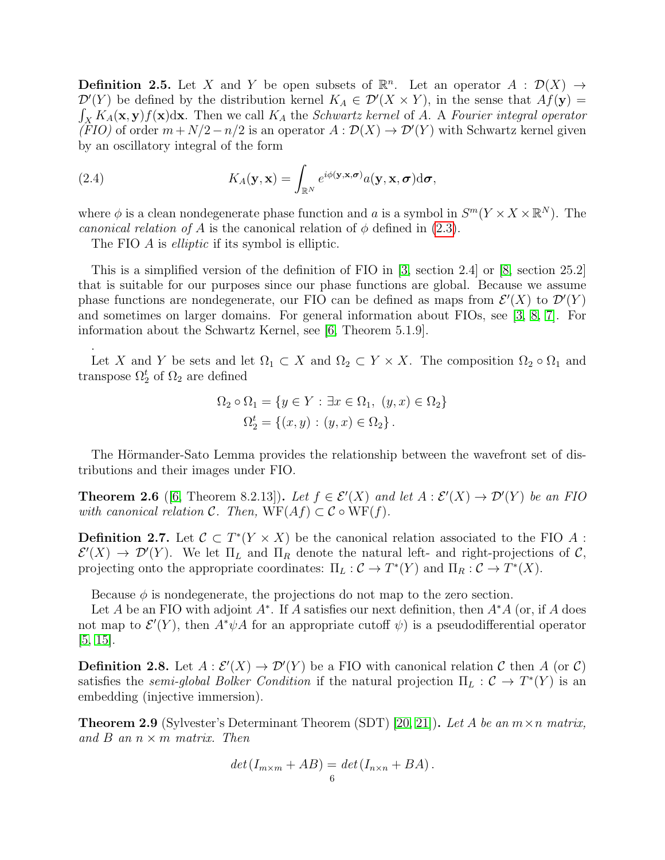<span id="page-5-0"></span>**Definition 2.5.** Let X and Y be open subsets of  $\mathbb{R}^n$ . Let an operator  $A : \mathcal{D}(X) \to$  $\mathcal{D}'(Y)$  be defined by the distribution kernel  $K_A \in \mathcal{D}'(X \times Y)$ , in the sense that  $Af(\mathbf{y}) =$  $\int_X K_A(\mathbf{x}, \mathbf{y}) f(\mathbf{x}) d\mathbf{x}$ . Then we call  $K_A$  the Schwartz kernel of A. A Fourier integral operator  $(FIO)$  of order  $m + N/2 - n/2$  is an operator  $A: \mathcal{D}(X) \to \mathcal{D}'(Y)$  with Schwartz kernel given by an oscillatory integral of the form

(2.4) 
$$
K_A(\mathbf{y}, \mathbf{x}) = \int_{\mathbb{R}^N} e^{i\phi(\mathbf{y}, \mathbf{x}, \boldsymbol{\sigma})} a(\mathbf{y}, \mathbf{x}, \boldsymbol{\sigma}) d\boldsymbol{\sigma},
$$

where  $\phi$  is a clean nondegenerate phase function and a is a symbol in  $S^m(Y \times X \times \mathbb{R}^N)$ . The canonical relation of A is the canonical relation of  $\phi$  defined in [\(2.3\)](#page-4-0).

The FIO A is *elliptic* if its symbol is elliptic.

.

This is a simplified version of the definition of FIO in [\[3,](#page-27-9) section 2.4] or [\[8,](#page-27-8) section 25.2] that is suitable for our purposes since our phase functions are global. Because we assume phase functions are nondegenerate, our FIO can be defined as maps from  $\mathcal{E}'(X)$  to  $\mathcal{D}'(Y)$ and sometimes on larger domains. For general information about FIOs, see [\[3,](#page-27-9) [8,](#page-27-8) [7\]](#page-27-7). For information about the Schwartz Kernel, see [\[6,](#page-27-5) Theorem 5.1.9].

Let X and Y be sets and let  $\Omega_1 \subset X$  and  $\Omega_2 \subset Y \times X$ . The composition  $\Omega_2 \circ \Omega_1$  and transpose  $\Omega_2^t$  of  $\Omega_2$  are defined

$$
\Omega_2 \circ \Omega_1 = \{ y \in Y : \exists x \in \Omega_1, (y, x) \in \Omega_2 \}
$$
  

$$
\Omega_2^t = \{ (x, y) : (y, x) \in \Omega_2 \}.
$$

The Hörmander-Sato Lemma provides the relationship between the wavefront set of distributions and their images under FIO.

**Theorem 2.6** ([\[6,](#page-27-5) Theorem 8.2.13]). Let  $f \in \mathcal{E}'(X)$  and let  $A : \mathcal{E}'(X) \to \mathcal{D}'(Y)$  be an FIO with canonical relation C. Then,  $WF(Af) \subset C \circ WF(f)$ .

**Definition 2.7.** Let  $\mathcal{C} \subset T^*(Y \times X)$  be the canonical relation associated to the FIO A:  $\mathcal{E}'(X) \to \mathcal{D}'(Y)$ . We let  $\Pi_L$  and  $\Pi_R$  denote the natural left- and right-projections of C, projecting onto the appropriate coordinates:  $\Pi_L : \mathcal{C} \to T^*(Y)$  and  $\Pi_R : \mathcal{C} \to T^*(X)$ .

Because  $\phi$  is nondegenerate, the projections do not map to the zero section.

Let A be an FIO with adjoint  $A^*$ . If A satisfies our next definition, then  $A^*A$  (or, if A does not map to  $\mathcal{E}'(Y)$ , then  $A^*\psi A$  for an appropriate cutoff  $\psi$ ) is a pseudodifferential operator [\[5,](#page-27-10) [15\]](#page-28-12).

**Definition 2.8.** Let  $A: \mathcal{E}'(X) \to \mathcal{D}'(Y)$  be a FIO with canonical relation C then A (or C) satisfies the *semi-global Bolker Condition* if the natural projection  $\Pi_L : \mathcal{C} \to T^*(Y)$  is an embedding (injective immersion).

**Theorem 2.9** (Sylvester's Determinant Theorem (SDT) [\[20,](#page-28-13) [21\]](#page-28-14)). Let A be an  $m \times n$  matrix, and B an  $n \times m$  matrix. Then

$$
det(I_{m\times m} + AB) = det(I_{n\times n} + BA).
$$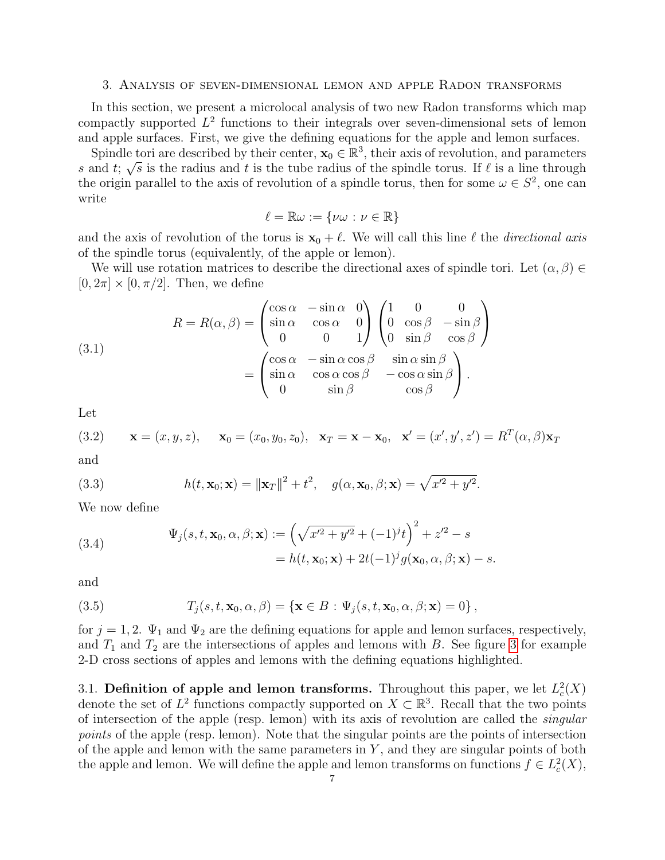#### <span id="page-6-0"></span>3. Analysis of seven-dimensional lemon and apple Radon transforms

In this section, we present a microlocal analysis of two new Radon transforms which map compactly supported  $L^2$  functions to their integrals over seven-dimensional sets of lemon and apple surfaces. First, we give the defining equations for the apple and lemon surfaces.

Spindle tori are described by their center,  $\mathbf{x}_0 \in \mathbb{R}^3$ , their axis of revolution, and parameters s and t;  $\sqrt{s}$  is the radius and t is the tube radius of the spindle torus. If  $\ell$  is a line through the origin parallel to the axis of revolution of a spindle torus, then for some  $\omega \in S^2$ , one can write

$$
\ell = \mathbb{R}\omega := \{\nu\omega : \nu \in \mathbb{R}\}
$$

and the axis of revolution of the torus is  $\mathbf{x}_0 + \ell$ . We will call this line  $\ell$  the directional axis of the spindle torus (equivalently, of the apple or lemon).

We will use rotation matrices to describe the directional axes of spindle tori. Let  $(\alpha, \beta) \in$  $[0, 2\pi] \times [0, \pi/2]$ . Then, we define

<span id="page-6-1"></span>(3.1)  
\n
$$
R = R(\alpha, \beta) = \begin{pmatrix}\n\cos \alpha & -\sin \alpha & 0 \\
\sin \alpha & \cos \alpha & 0 \\
0 & 0 & 1\n\end{pmatrix} \begin{pmatrix}\n1 & 0 & 0 \\
0 & \cos \beta & -\sin \beta \\
0 & \sin \beta & \cos \beta\n\end{pmatrix}
$$
\n
$$
= \begin{pmatrix}\n\cos \alpha & -\sin \alpha \cos \beta & \sin \alpha \sin \beta \\
\sin \alpha & \cos \alpha \cos \beta & -\cos \alpha \sin \beta \\
0 & \sin \beta & \cos \beta\n\end{pmatrix}.
$$

Let

(3.2) 
$$
\mathbf{x} = (x, y, z), \quad \mathbf{x}_0 = (x_0, y_0, z_0), \quad \mathbf{x}_T = \mathbf{x} - \mathbf{x}_0, \quad \mathbf{x}' = (x', y', z') = R^T(\alpha, \beta)\mathbf{x}_T
$$

and

(3.3) 
$$
h(t, \mathbf{x}_0; \mathbf{x}) = ||\mathbf{x}_T||^2 + t^2, \quad g(\alpha, \mathbf{x}_0, \beta; \mathbf{x}) = \sqrt{x'^2 + y'^2}.
$$

We now define

<span id="page-6-2"></span>(3.4) 
$$
\Psi_j(s, t, \mathbf{x}_0, \alpha, \beta; \mathbf{x}) := \left(\sqrt{x'^2 + y'^2} + (-1)^j t\right)^2 + z'^2 - s \n= h(t, \mathbf{x}_0; \mathbf{x}) + 2t(-1)^j g(\mathbf{x}_0, \alpha, \beta; \mathbf{x}) - s.
$$

and

(3.5) 
$$
T_j(s, t, \mathbf{x}_0, \alpha, \beta) = \{ \mathbf{x} \in B : \Psi_j(s, t, \mathbf{x}_0, \alpha, \beta; \mathbf{x}) = 0 \},
$$

for  $j = 1, 2$ .  $\Psi_1$  and  $\Psi_2$  are the defining equations for apple and lemon surfaces, respectively, and  $T_1$  and  $T_2$  are the intersections of apples and lemons with B. See figure [3](#page-7-0) for example 2-D cross sections of apples and lemons with the defining equations highlighted.

3.1. Definition of apple and lemon transforms. Throughout this paper, we let  $L_c^2(X)$ denote the set of  $L^2$  functions compactly supported on  $X \subset \mathbb{R}^3$ . Recall that the two points of intersection of the apple (resp. lemon) with its axis of revolution are called the singular points of the apple (resp. lemon). Note that the singular points are the points of intersection of the apple and lemon with the same parameters in  $Y$ , and they are singular points of both the apple and lemon. We will define the apple and lemon transforms on functions  $f \in L_c^2(X)$ ,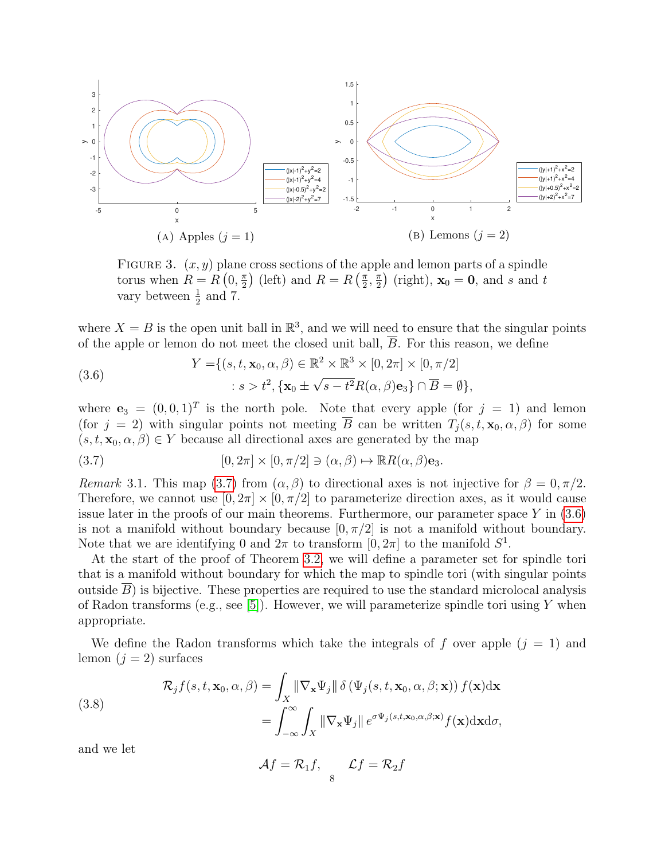<span id="page-7-0"></span>

FIGURE 3.  $(x, y)$  plane cross sections of the apple and lemon parts of a spindle torus when  $R = R(0, \frac{\pi}{2})$  $\frac{\pi}{2}$  (left) and  $R = R\left(\frac{\pi}{2}\right)$  $\frac{\pi}{2}$ ,  $\frac{\pi}{2}$  $(\frac{\pi}{2})$  (right),  $\mathbf{x}_0 = \mathbf{0}$ , and s and t vary between  $\frac{1}{2}$  and 7.

where  $X = B$  is the open unit ball in  $\mathbb{R}^3$ , and we will need to ensure that the singular points of the apple or lemon do not meet the closed unit ball,  $\overline{B}$ . For this reason, we define

<span id="page-7-2"></span>(3.6)  

$$
Y = \{(s, t, \mathbf{x}_0, \alpha, \beta) \in \mathbb{R}^2 \times \mathbb{R}^3 \times [0, 2\pi] \times [0, \pi/2]
$$

$$
: s > t^2, \{\mathbf{x}_0 \pm \sqrt{s - t^2} R(\alpha, \beta) \mathbf{e}_3\} \cap \overline{B} = \emptyset \},
$$

where  $\mathbf{e}_3 = (0, 0, 1)^T$  is the north pole. Note that every apple (for  $j = 1$ ) and lemon (for  $j = 2$ ) with singular points not meeting  $\overline{B}$  can be written  $T_i(s, t, \mathbf{x}_0, \alpha, \beta)$  for some  $(s, t, \mathbf{x}_0, \alpha, \beta) \in Y$  because all directional axes are generated by the map

<span id="page-7-1"></span>(3.7) 
$$
[0,2\pi] \times [0,\pi/2] \ni (\alpha,\beta) \mapsto \mathbb{R}R(\alpha,\beta)e_3.
$$

<span id="page-7-4"></span>Remark 3.1. This map [\(3.7\)](#page-7-1) from  $(\alpha, \beta)$  to directional axes is not injective for  $\beta = 0, \pi/2$ . Therefore, we cannot use  $[0, 2\pi] \times [0, \pi/2]$  to parameterize direction axes, as it would cause issue later in the proofs of our main theorems. Furthermore, our parameter space  $Y$  in  $(3.6)$ is not a manifold without boundary because  $[0, \pi/2]$  is not a manifold without boundary. Note that we are identifying 0 and  $2\pi$  to transform  $[0, 2\pi]$  to the manifold  $S^1$ .

At the start of the proof of Theorem [3.2,](#page-8-0) we will define a parameter set for spindle tori that is a manifold without boundary for which the map to spindle tori (with singular points outside  $B$ ) is bijective. These properties are required to use the standard microlocal analysis of Radon transforms (e.g., see [\[5\]](#page-27-10)). However, we will parameterize spindle tori using Y when appropriate.

We define the Radon transforms which take the integrals of f over apple  $(j = 1)$  and lemon  $(j = 2)$  surfaces

<span id="page-7-3"></span>(3.8)  
\n
$$
\mathcal{R}_j f(s, t, \mathbf{x}_0, \alpha, \beta) = \int_X \|\nabla_{\mathbf{x}} \Psi_j\| \delta \left(\Psi_j(s, t, \mathbf{x}_0, \alpha, \beta; \mathbf{x})\right) f(\mathbf{x}) d\mathbf{x}
$$
\n
$$
= \int_{-\infty}^{\infty} \int_X \|\nabla_{\mathbf{x}} \Psi_j\| e^{\sigma \Psi_j(s, t, \mathbf{x}_0, \alpha, \beta; \mathbf{x})} f(\mathbf{x}) d\mathbf{x} d\sigma,
$$

and we let

$$
\mathcal{A}f=\mathcal{R}_1f, \qquad \mathcal{L}f=\mathcal{R}_2f
$$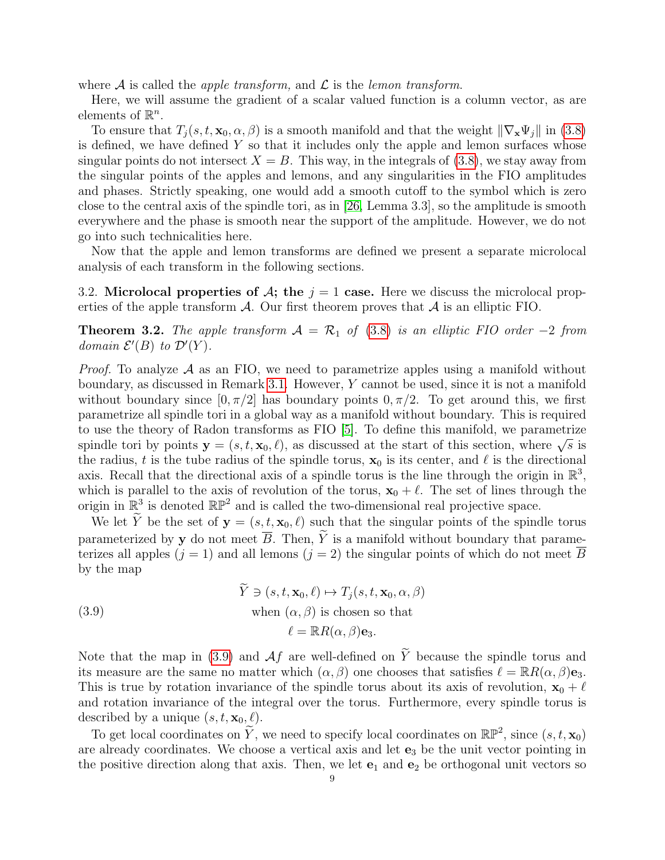where A is called the *apple transform*, and  $\mathcal L$  is the *lemon transform*.

Here, we will assume the gradient of a scalar valued function is a column vector, as are elements of  $\mathbb{R}^n$ .

To ensure that  $T_i(s, t, \mathbf{x}_0, \alpha, \beta)$  is a smooth manifold and that the weight  $\|\nabla_{\mathbf{x}}\Psi_i\|$  in [\(3.8\)](#page-7-3) is defined, we have defined  $Y$  so that it includes only the apple and lemon surfaces whose singular points do not intersect  $X = B$ . This way, in the integrals of [\(3.8\)](#page-7-3), we stay away from the singular points of the apples and lemons, and any singularities in the FIO amplitudes and phases. Strictly speaking, one would add a smooth cutoff to the symbol which is zero close to the central axis of the spindle tori, as in [\[26,](#page-28-15) Lemma 3.3], so the amplitude is smooth everywhere and the phase is smooth near the support of the amplitude. However, we do not go into such technicalities here.

Now that the apple and lemon transforms are defined we present a separate microlocal analysis of each transform in the following sections.

3.2. Microlocal properties of  $\mathcal{A}$ ; the  $j = 1$  case. Here we discuss the microlocal properties of the apple transform  $\mathcal A$ . Our first theorem proves that  $\mathcal A$  is an elliptic FIO.

<span id="page-8-0"></span>**Theorem 3.2.** The apple transform  $A = \mathcal{R}_1$  of [\(3.8\)](#page-7-3) is an elliptic FIO order -2 from domain  $\mathcal{E}'(B)$  to  $\mathcal{D}'(Y)$ .

*Proof.* To analyze  $\mathcal A$  as an FIO, we need to parametrize apples using a manifold without boundary, as discussed in Remark [3.1.](#page-7-4) However, Y cannot be used, since it is not a manifold without boundary since  $[0, \pi/2]$  has boundary points  $0, \pi/2$ . To get around this, we first parametrize all spindle tori in a global way as a manifold without boundary. This is required to use the theory of Radon transforms as FIO [\[5\]](#page-27-10). To define this manifold, we parametrize spindle tori by points  $\mathbf{y} = (s, t, \mathbf{x}_0, \ell)$ , as discussed at the start of this section, where  $\sqrt{s}$  is spindle tori by points  $\mathbf{y} = (s, t, \mathbf{x}_0, \ell)$ , as discussed at the start of this section, where  $\sqrt{s}$  is the radius, t is the tube radius of the spindle torus,  $x_0$  is its center, and  $\ell$  is the directional axis. Recall that the directional axis of a spindle torus is the line through the origin in  $\mathbb{R}^3$ , which is parallel to the axis of revolution of the torus,  $x_0 + \ell$ . The set of lines through the origin in  $\mathbb{R}^3$  is denoted  $\mathbb{RP}^2$  and is called the two-dimensional real projective space.

We let  $\widetilde{Y}$  be the set of  $y = (s, t, x_0, \ell)$  such that the singular points of the spindle torus parameterized by y do not meet  $\overline{B}$ . Then,  $\widetilde{Y}$  is a manifold without boundary that parameterizes all apples  $(j = 1)$  and all lemons  $(j = 2)$  the singular points of which do not meet  $\overline{B}$ by the map

<span id="page-8-1"></span>(3.9)  
\n
$$
Y \ni (s, t, \mathbf{x}_0, \ell) \mapsto T_j(s, t, \mathbf{x}_0, \alpha, \beta)
$$
\n
$$
\text{when } (\alpha, \beta) \text{ is chosen so that}
$$
\n
$$
\ell = \mathbb{R}R(\alpha, \beta)\mathbf{e}_3.
$$

Note that the map in [\(3.9\)](#page-8-1) and  $Af$  are well-defined on  $\widetilde{Y}$  because the spindle torus and its measure are the same no matter which  $(\alpha, \beta)$  one chooses that satisfies  $\ell = \mathbb{R}R(\alpha, \beta)e_3$ . This is true by rotation invariance of the spindle torus about its axis of revolution,  $\mathbf{x}_0 + \ell$ and rotation invariance of the integral over the torus. Furthermore, every spindle torus is described by a unique  $(s, t, \mathbf{x}_0, \ell)$ .

To get local coordinates on  $\widetilde{Y}$ , we need to specify local coordinates on  $\mathbb{RP}^2$ , since  $(s, t, \mathbf{x}_0)$ are already coordinates. We choose a vertical axis and let  $e_3$  be the unit vector pointing in the positive direction along that axis. Then, we let  $e_1$  and  $e_2$  be orthogonal unit vectors so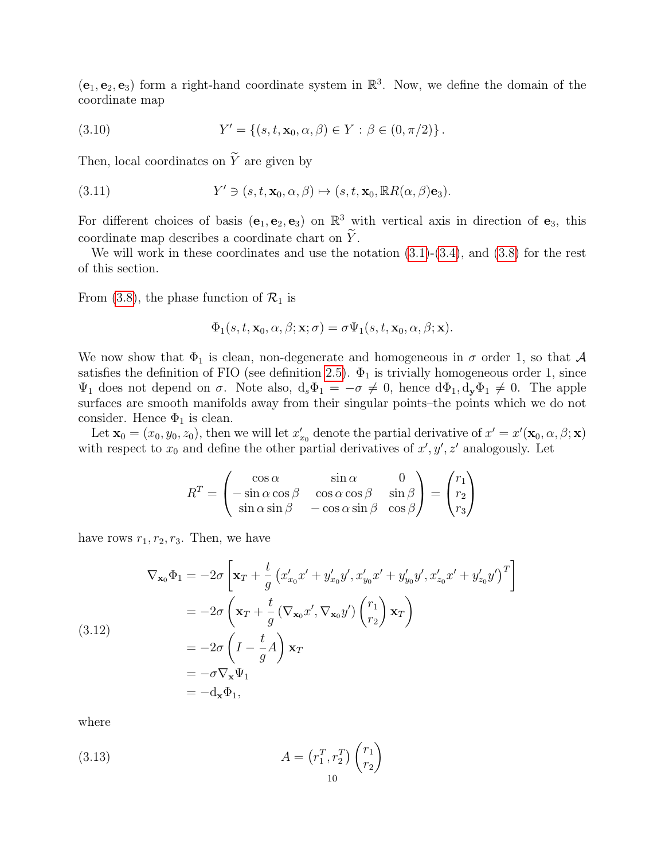$(e_1, e_2, e_3)$  form a right-hand coordinate system in  $\mathbb{R}^3$ . Now, we define the domain of the coordinate map

<span id="page-9-2"></span>(3.10) 
$$
Y' = \{(s, t, \mathbf{x}_0, \alpha, \beta) \in Y : \beta \in (0, \pi/2)\}.
$$

Then, local coordinates on  $\widetilde{Y}$  are given by

<span id="page-9-1"></span>(3.11) 
$$
Y' \ni (s, t, \mathbf{x}_0, \alpha, \beta) \mapsto (s, t, \mathbf{x}_0, \mathbb{R}R(\alpha, \beta)\mathbf{e}_3).
$$

For different choices of basis  $(e_1, e_2, e_3)$  on  $\mathbb{R}^3$  with vertical axis in direction of  $e_3$ , this coordinate map describes a coordinate chart on  $\widetilde{Y}$ .

We will work in these coordinates and use the notation  $(3.1)-(3.4)$  $(3.1)-(3.4)$  $(3.1)-(3.4)$ , and  $(3.8)$  for the rest of this section.

From [\(3.8\)](#page-7-3), the phase function of  $\mathcal{R}_1$  is

$$
\Phi_1(s, t, \mathbf{x}_0, \alpha, \beta; \mathbf{x}; \sigma) = \sigma \Psi_1(s, t, \mathbf{x}_0, \alpha, \beta; \mathbf{x}).
$$

We now show that  $\Phi_1$  is clean, non-degenerate and homogeneous in  $\sigma$  order 1, so that A satisfies the definition of FIO (see definition [2.5\)](#page-5-0).  $\Phi_1$  is trivially homogeneous order 1, since  $\Psi_1$  does not depend on  $\sigma$ . Note also,  $d_s\Phi_1 = -\sigma \neq 0$ , hence  $d\Phi_1, d_{\mathbf{y}}\Phi_1 \neq 0$ . The apple surfaces are smooth manifolds away from their singular points–the points which we do not consider. Hence  $\Phi_1$  is clean.

Let  $\mathbf{x}_0 = (x_0, y_0, z_0)$ , then we will let  $x'_{x_0}$  denote the partial derivative of  $x' = x'(\mathbf{x}_0, \alpha, \beta; \mathbf{x})$ with respect to  $x_0$  and define the other partial derivatives of  $x', y', z'$  analogously. Let

$$
R^{T} = \begin{pmatrix} \cos \alpha & \sin \alpha & 0\\ -\sin \alpha \cos \beta & \cos \alpha \cos \beta & \sin \beta\\ \sin \alpha \sin \beta & -\cos \alpha \sin \beta & \cos \beta \end{pmatrix} = \begin{pmatrix} r_{1} \\ r_{2} \\ r_{3} \end{pmatrix}
$$

have rows  $r_1, r_2, r_3$ . Then, we have

<span id="page-9-0"></span>
$$
\nabla_{\mathbf{x}_0} \Phi_1 = -2\sigma \left[ \mathbf{x}_T + \frac{t}{g} \left( x'_{x_0} x' + y'_{x_0} y', x'_{y_0} x' + y'_{y_0} y', x'_{z_0} x' + y'_{z_0} y' \right)^T \right]
$$
  
\n
$$
= -2\sigma \left( \mathbf{x}_T + \frac{t}{g} \left( \nabla_{\mathbf{x}_0} x', \nabla_{\mathbf{x}_0} y' \right) \binom{r_1}{r_2} \mathbf{x}_T \right)
$$
  
\n(3.12)  
\n
$$
= -2\sigma \left( I - \frac{t}{g} A \right) \mathbf{x}_T
$$
  
\n
$$
= -\sigma \nabla_{\mathbf{x}} \Psi_1
$$
  
\n
$$
= -d_{\mathbf{x}} \Phi_1,
$$

where

<span id="page-9-3"></span>(3.13) 
$$
A = (r_1^T, r_2^T) {r_1 \choose r_2}
$$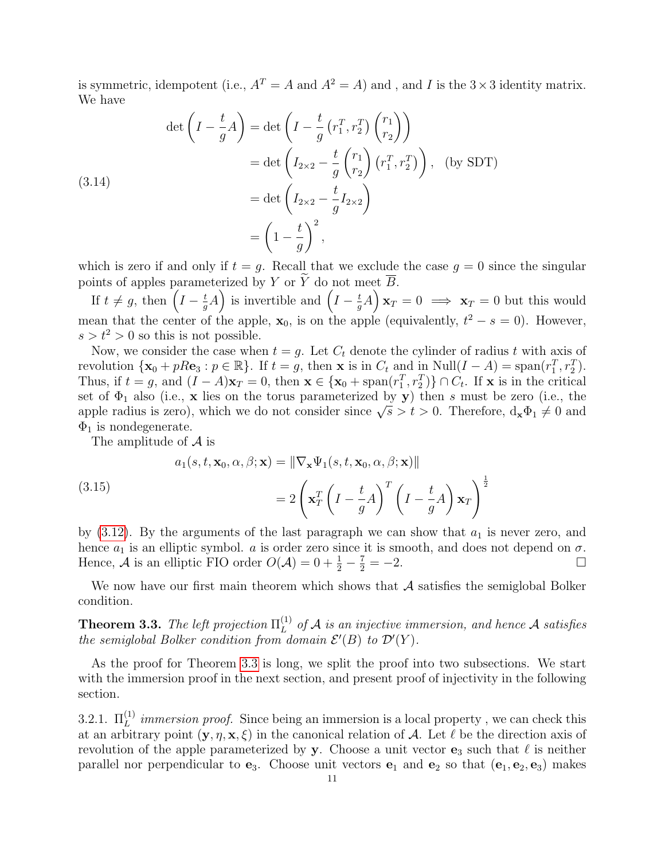is symmetric, idempotent (i.e.,  $A<sup>T</sup> = A$  and  $A<sup>2</sup> = A$ ) and, and I is the 3 × 3 identity matrix. We have

(3.14)  
\n
$$
\det \left( I - \frac{t}{g} A \right) = \det \left( I - \frac{t}{g} \left( r_1^T, r_2^T \right) \binom{r_1}{r_2} \right)
$$
\n
$$
= \det \left( I_{2 \times 2} - \frac{t}{g} \binom{r_1}{r_2} \left( r_1^T, r_2^T \right) \right), \text{ (by SDT)}
$$
\n
$$
= \det \left( I_{2 \times 2} - \frac{t}{g} I_{2 \times 2} \right)
$$
\n
$$
= \left( 1 - \frac{t}{g} \right)^2,
$$

which is zero if and only if  $t = g$ . Recall that we exclude the case  $g = 0$  since the singular points of apples parameterized by Y or Y do not meet  $\overline{B}$ .

If  $t \neq g$ , then  $\left(I - \frac{t}{g}\right)$  $(\frac{t}{g}A)$  is invertible and  $(I - \frac{t}{g})$  $\left(\frac{t}{g}A\right)\mathbf{x}_T = 0 \implies \mathbf{x}_T = 0$  but this would mean that the center of the apple,  $\mathbf{x}_0$ , is on the apple (equivalently,  $t^2 - s = 0$ ). However,  $s > t^2 > 0$  so this is not possible.

Now, we consider the case when  $t = g$ . Let  $C_t$  denote the cylinder of radius t with axis of revolution  $\{\mathbf{x}_0 + pR\mathbf{e}_3 : p \in \mathbb{R}\}\$ . If  $t = g$ , then **x** is in  $C_t$  and in Null $(I - A) = \text{span}(r_1^T, r_2^T)$ . Thus, if  $t = g$ , and  $(I - A)\mathbf{x}_T = 0$ , then  $\mathbf{x} \in {\mathbf{x}_0 + \text{span}(r_1^T, r_2^T)} \cap C_t$ . If  $\mathbf{x}$  is in the critical set of  $\Phi_1$  also (i.e., x lies on the torus parameterized by y) then s must be zero (i.e., the set of  $\Psi_1$  also (i.e., **x** nes on the torus parameterized by **y**) then *s* must be zero (i.e., the apple radius is zero), which we do not consider since  $\sqrt{s} > t > 0$ . Therefore,  $d_x \Phi_1 \neq 0$  and  $\Phi_1$  is nondegenerate.

The amplitude of  $A$  is

(3.15)  

$$
a_1(s, t, \mathbf{x}_0, \alpha, \beta; \mathbf{x}) = \|\nabla_{\mathbf{x}} \Psi_1(s, t, \mathbf{x}_0, \alpha, \beta; \mathbf{x})\|
$$

$$
= 2 \left( \mathbf{x}_T^T \left( I - \frac{t}{g} A \right)^T \left( I - \frac{t}{g} A \right) \mathbf{x}_T \right)^{\frac{1}{2}}
$$

by  $(3.12)$ . By the arguments of the last paragraph we can show that  $a_1$  is never zero, and hence  $a_1$  is an elliptic symbol. a is order zero since it is smooth, and does not depend on  $\sigma$ . Hence, A is an elliptic FIO order  $O(\mathcal{A}) = 0 + \frac{1}{2} - \frac{7}{2} = -2$ .

We now have our first main theorem which shows that  $A$  satisfies the semiglobal Bolker condition.

<span id="page-10-0"></span>**Theorem 3.3.** The left projection  $\Pi_L^{(1)}$  $\mathcal{L}_{L}^{(1)}$  of A is an injective immersion, and hence A satisfies the semiglobal Bolker condition from domain  $\mathcal{E}'(B)$  to  $\mathcal{D}'(Y)$ .

As the proof for Theorem [3.3](#page-10-0) is long, we split the proof into two subsections. We start with the immersion proof in the next section, and present proof of injectivity in the following section.

<span id="page-10-1"></span>3.2.1.  $\Pi_L^{(1)}$  *immersion proof.* Since being an immersion is a local property, we can check this at an arbitrary point  $(\mathbf{y}, \eta, \mathbf{x}, \xi)$  in the canonical relation of A. Let  $\ell$  be the direction axis of revolution of the apple parameterized by y. Choose a unit vector  $\mathbf{e}_3$  such that  $\ell$  is neither parallel nor perpendicular to  $e_3$ . Choose unit vectors  $e_1$  and  $e_2$  so that  $(e_1, e_2, e_3)$  makes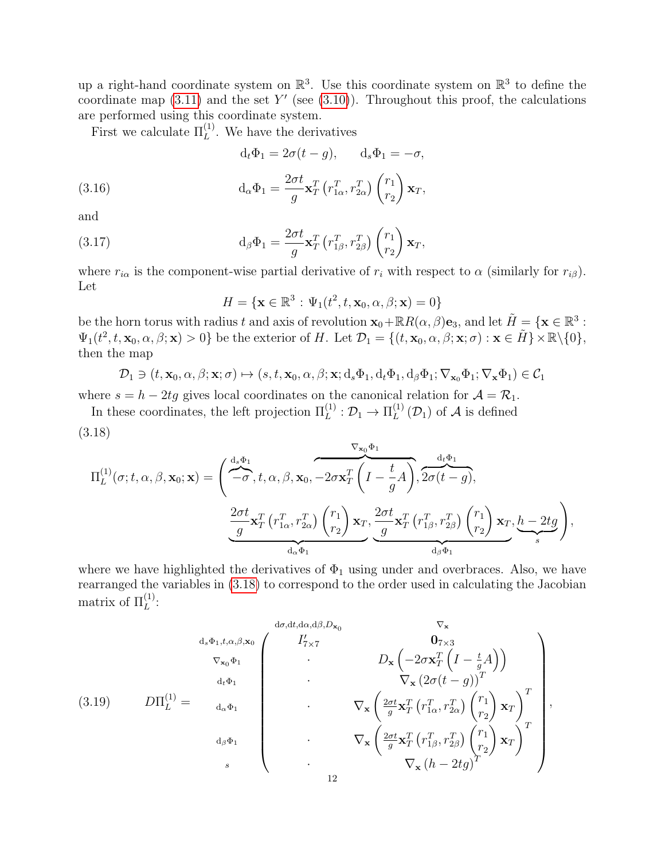up a right-hand coordinate system on  $\mathbb{R}^3$ . Use this coordinate system on  $\mathbb{R}^3$  to define the coordinate map  $(3.11)$  and the set Y' (see  $(3.10)$ ). Throughout this proof, the calculations are performed using this coordinate system.

First we calculate  $\Pi_L^{(1)}$ . We have the derivatives

$$
d_t \Phi_1 = 2\sigma(t - g), \qquad d_s \Phi_1 = -\sigma,
$$

(3.16) 
$$
\mathrm{d}_{\alpha} \Phi_1 = \frac{2\sigma t}{g} \mathbf{x}_T^T \left( r_{1\alpha}^T, r_{2\alpha}^T \right) \begin{pmatrix} r_1 \\ r_2 \end{pmatrix} \mathbf{x}_T,
$$

and

(3.17) 
$$
\mathrm{d}_{\beta} \Phi_1 = \frac{2\sigma t}{g} \mathbf{x}_T^T \left( r_{1\beta}^T, r_{2\beta}^T \right) \begin{pmatrix} r_1 \\ r_2 \end{pmatrix} \mathbf{x}_T,
$$

where  $r_{i\alpha}$  is the component-wise partial derivative of  $r_i$  with respect to  $\alpha$  (similarly for  $r_{i\beta}$ ). Let

$$
H = \{ \mathbf{x} \in \mathbb{R}^3 : \Psi_1(t^2, t, \mathbf{x}_0, \alpha, \beta; \mathbf{x}) = 0 \}
$$

be the horn torus with radius t and axis of revolution  $\mathbf{x}_0 + \mathbb{R}R(\alpha, \beta)\mathbf{e}_3$ , and let  $\tilde{H} = \{ \mathbf{x} \in \mathbb{R}^3 :$  $\Psi_1(t^2, t, \mathbf{x}_0, \alpha, \beta; \mathbf{x}) > 0$  be the exterior of H. Let  $\mathcal{D}_1 = \{(t, \mathbf{x}_0, \alpha, \beta; \mathbf{x}; \sigma) : \mathbf{x} \in \tilde{H}\}\times \mathbb{R}\setminus\{0\},\$ then the map

$$
\mathcal{D}_1 \ni (t, \mathbf{x}_0, \alpha, \beta; \mathbf{x}; \sigma) \mapsto (s, t, \mathbf{x}_0, \alpha, \beta; \mathbf{x}; d_s \Phi_1, d_t \Phi_1, d_\beta \Phi_1; \nabla_{\mathbf{x}_0} \Phi_1; \nabla_{\mathbf{x}} \Phi_1) \in \mathcal{C}_1
$$

where  $s = h - 2tg$  gives local coordinates on the canonical relation for  $A = \mathcal{R}_1$ .

In these coordinates, the left projection  $\Pi_L^{(1)} : \mathcal{D}_1 \to \Pi_L^{(1)}$  $L^{(1)}(\mathcal{D}_1)$  of A is defined

(3.18)

<span id="page-11-0"></span>
$$
\Pi_{L}^{(1)}(\sigma;t,\alpha,\beta,\mathbf{x}_{0};\mathbf{x}) = \left(\begin{array}{c} \frac{d_{s}\Phi_{1}}{-\sigma},t,\alpha,\beta,\mathbf{x}_{0},-2\sigma\mathbf{x}_{T}^{T}\left(I-\frac{t}{g}A\right),\frac{d_{t}\Phi_{1}}{2\sigma(t-g)},\\ \frac{2\sigma t}{g}\mathbf{x}_{T}^{T}\left(r_{1\alpha}^{T},r_{2\alpha}^{T}\right)\left(\begin{array}{c} r_{1}\\ r_{2} \end{array}\right)\mathbf{x}_{T},\frac{2\sigma t}{g}\mathbf{x}_{T}^{T}\left(r_{1\beta}^{T},r_{2\beta}^{T}\right)\left(\begin{array}{c} r_{1}\\ r_{2} \end{array}\right)\mathbf{x}_{T},\frac{h-2tg}{s} \right),
$$

where we have highlighted the derivatives of  $\Phi_1$  using under and overbraces. Also, we have rearranged the variables in [\(3.18\)](#page-11-0) to correspond to the order used in calculating the Jacobian matrix of  $\Pi_L^{(1)}$ :

(3.19) 
$$
D\Pi_L^{(1)} = \n\begin{bmatrix}\n\frac{d\sigma_1 dt, d\alpha_2 d\beta, D_{\mathbf{x}_0}}{d\sigma_1} & \n\frac{d\sigma_2 dt}{d\sigma_1} & \n\frac{d\sigma_3 dt}{d\sigma_2} & \n\frac{d\sigma_4}{d\sigma_1} & \n\frac{d\sigma_5}{d\sigma_1} & \n\frac{d\sigma_6}{d\sigma_1} & \n\frac{d\sigma_7}{d\sigma_2} & \n\frac{d\sigma_8}{d\sigma_1} & \n\frac{d\sigma_9}{d\sigma_1} & \n\frac{d\sigma_9}{d\sigma_2} & \n\frac{d\sigma_9}{d\sigma_3} & \n\frac{d\sigma_9}{d\sigma_4} & \n\frac{d\sigma_9}{d\sigma_5} & \n\frac{d\sigma_9}{d\sigma_6} & \n\frac{d\sigma_9}{d\sigma_7} & \n\frac{d\sigma_9}{d\sigma_8} & \n\frac{d\sigma_9}{d\sigma_8} & \n\frac{d\sigma_9}{d\sigma_8} & \n\frac{d\sigma_9}{d\sigma_8} & \n\frac{d\sigma_9}{d\sigma_8} & \n\frac{d\sigma_9}{d\sigma_8} & \n\frac{d\sigma_9}{d\sigma_8} & \n\frac{d\sigma_9}{d\sigma_8} & \n\frac{d\sigma_9}{d\sigma_8} & \n\frac{d\sigma_9}{d\sigma_8} & \n\frac{d\sigma_9}{d\sigma_8} & \n\frac{d\sigma_9}{d\sigma_8} & \n\frac{d\sigma_9}{d\sigma_8} & \n\frac{d\sigma_9}{d\sigma_8} & \n\frac{d\sigma_9}{d\sigma_8} & \n\frac{d\sigma_9}{d\sigma_8} & \n\frac{d\sigma_9}{d\sigma_8} & \n\frac{d\sigma_9}{d\sigma_8} & \n\frac{d\sigma_9}{d\sigma_8} & \n\frac{d\sigma_9}{d\sigma_8} & \n\frac{d\sigma_9}{d\sigma_8} & \n\frac{d\sigma_9}{d\sigma_8} & \n\frac{d\sigma_9}{d\sigma_8} & \n\frac{d\sigma_9}{d\sigma_8} & \n\frac{d\sigma_9}{d\
$$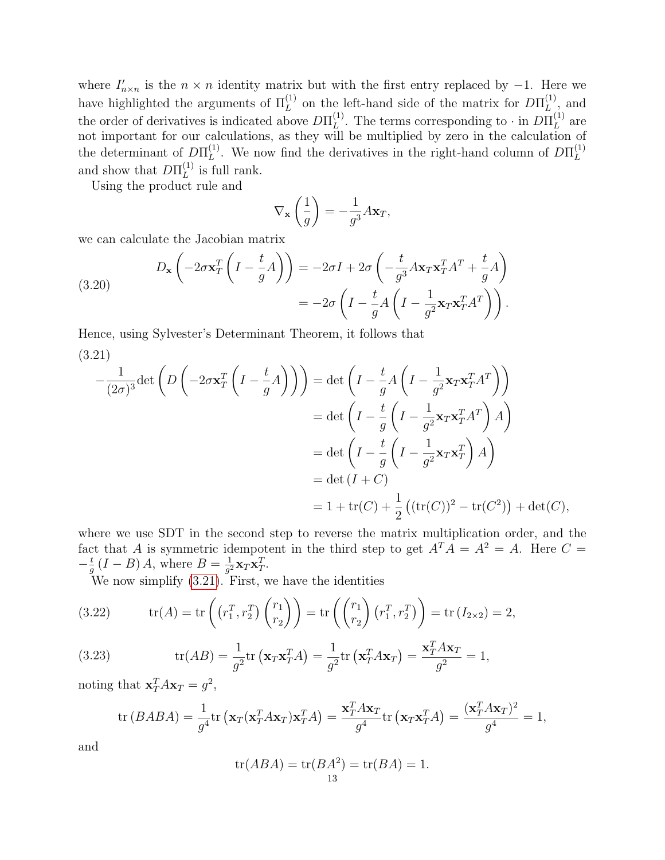where  $I'_{n \times n}$  is the  $n \times n$  identity matrix but with the first entry replaced by  $-1$ . Here we have highlighted the arguments of  $\Pi_L^{(1)}$  on the left-hand side of the matrix for  $D\Pi_L^{(1)}$  $L^{(1)}$ , and the order of derivatives is indicated above  $D\Pi_L^{(1)}$ <sup>(1)</sup>. The terms corresponding to  $\cdot$  in  $D\Pi_L^{(1)}$  $L^{(1)}$  are not important for our calculations, as they will be multiplied by zero in the calculation of the determinant of  $D\Pi_L^{(1)}$ <sup>(1)</sup>. We now find the derivatives in the right-hand column of  $D\Pi_L^{(1)}$ L and show that  $D\Pi_L^{(1)}$  $L^{(1)}$  is full rank.

Using the product rule and

$$
\nabla_{\mathbf{x}}\left(\frac{1}{g}\right) = -\frac{1}{g^3}A\mathbf{x}_T,
$$

we can calculate the Jacobian matrix

(3.20) 
$$
D_{\mathbf{x}}\left(-2\sigma\mathbf{x}_{T}^{T}\left(I-\frac{t}{g}A\right)\right) = -2\sigma I + 2\sigma\left(-\frac{t}{g^{3}}A\mathbf{x}_{T}\mathbf{x}_{T}^{T}A^{T} + \frac{t}{g}A\right) = -2\sigma\left(I - \frac{t}{g}A\left(I - \frac{1}{g^{2}}\mathbf{x}_{T}\mathbf{x}_{T}^{T}A^{T}\right)\right).
$$

Hence, using Sylvester's Determinant Theorem, it follows that

<span id="page-12-0"></span>(3.21)  
\n
$$
-\frac{1}{(2\sigma)^3} \det \left( D \left( -2\sigma \mathbf{x}_T^T \left( I - \frac{t}{g} A \right) \right) \right) = \det \left( I - \frac{t}{g} A \left( I - \frac{1}{g^2} \mathbf{x}_T \mathbf{x}_T^T A^T \right) \right)
$$
\n
$$
= \det \left( I - \frac{t}{g} \left( I - \frac{1}{g^2} \mathbf{x}_T \mathbf{x}_T^T A^T \right) A \right)
$$
\n
$$
= \det \left( I - \frac{t}{g} \left( I - \frac{1}{g^2} \mathbf{x}_T \mathbf{x}_T^T \right) A \right)
$$
\n
$$
= \det (I + C)
$$
\n
$$
= 1 + \text{tr}(C) + \frac{1}{2} \left( (\text{tr}(C))^2 - \text{tr}(C^2) \right) + \det(C),
$$

where we use SDT in the second step to reverse the matrix multiplication order, and the fact that A is symmetric idempotent in the third step to get  $A^T A = A^2 = A$ . Here  $C =$  $-\frac{t}{a}$  $\frac{t}{g}(I-B)A$ , where  $B=\frac{1}{g^2}$  $\frac{1}{g^2}\mathbf{x}_T\mathbf{x}_T^T.$ 

We now simplify [\(3.21\)](#page-12-0). First, we have the identities

(3.22) 
$$
\operatorname{tr}(A) = \operatorname{tr}\left(\left(r_1^T, r_2^T\right) \binom{r_1}{r_2}\right) = \operatorname{tr}\left(\binom{r_1}{r_2} \left(r_1^T, r_2^T\right)\right) = \operatorname{tr}\left(I_{2 \times 2}\right) = 2,
$$

(3.23) 
$$
\operatorname{tr}(AB) = \frac{1}{g^2} \operatorname{tr} (\mathbf{x}_T \mathbf{x}_T^T A) = \frac{1}{g^2} \operatorname{tr} (\mathbf{x}_T^T A \mathbf{x}_T) = \frac{\mathbf{x}_T^T A \mathbf{x}_T}{g^2} = 1,
$$

noting that  $\mathbf{x}_T^T A \mathbf{x}_T = g^2$ ,

$$
\text{tr}(BABA) = \frac{1}{g^4}\text{tr}\left(\mathbf{x}_T(\mathbf{x}_T^T A \mathbf{x}_T)\mathbf{x}_T^T A\right) = \frac{\mathbf{x}_T^T A \mathbf{x}_T}{g^4}\text{tr}\left(\mathbf{x}_T \mathbf{x}_T^T A\right) = \frac{(\mathbf{x}_T^T A \mathbf{x}_T)^2}{g^4} = 1,
$$

and

$$
tr(ABA) = tr(BA^2) = tr(BA) = 1.
$$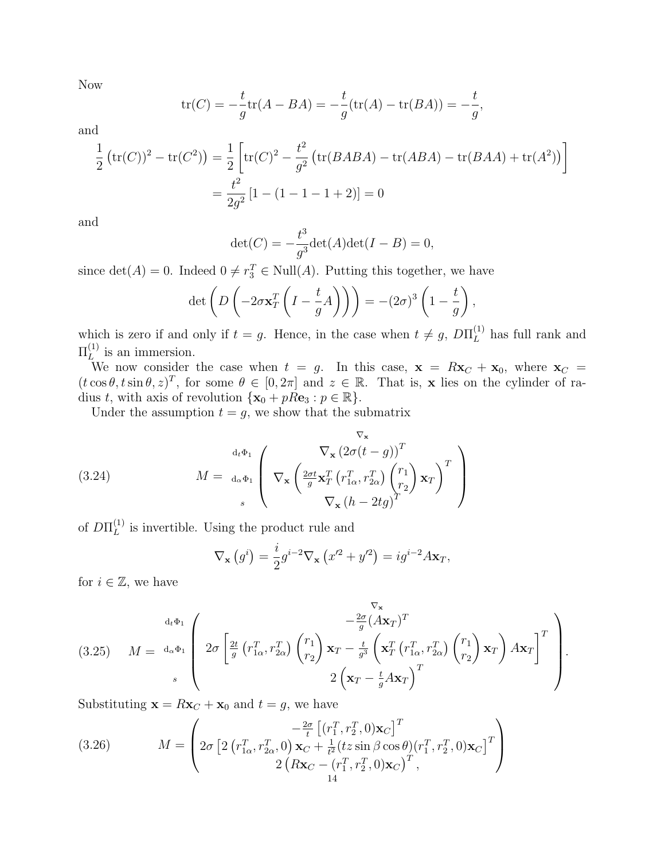Now

$$
\text{tr}(C) = -\frac{t}{g}\text{tr}(A - BA) = -\frac{t}{g}(\text{tr}(A) - \text{tr}(BA)) = -\frac{t}{g},
$$

and

$$
\frac{1}{2} \left( \text{tr}(C) \right)^2 - \text{tr}(C^2) = \frac{1}{2} \left[ \text{tr}(C)^2 - \frac{t^2}{g^2} \left( \text{tr}(BABA) - \text{tr}(ABA) - \text{tr}(BAA) + \text{tr}(A^2) \right) \right]
$$

$$
= \frac{t^2}{2g^2} \left[ 1 - (1 - 1 - 1 + 2) \right] = 0
$$

and

$$
\det(C) = -\frac{t^3}{g^3} \det(A) \det(I - B) = 0,
$$

since  $\det(A) = 0$ . Indeed  $0 \neq r_3^T \in Null(A)$ . Putting this together, we have

$$
\det\left(D\left(-2\sigma\mathbf{x}_T^T\left(I-\frac{t}{g}A\right)\right)\right) = -(2\sigma)^3\left(1-\frac{t}{g}\right),\,
$$

which is zero if and only if  $t = g$ . Hence, in the case when  $t \neq g$ ,  $D\Pi_L^{(1)}$  has full rank and  $\Pi_L^{(1)}$  $L^{(1)}$  is an immersion.

We now consider the case when  $t = g$ . In this case,  $\mathbf{x} = R\mathbf{x}_C + \mathbf{x}_0$ , where  $\mathbf{x}_C =$  $(t \cos \theta, t \sin \theta, z)^T$ , for some  $\theta \in [0, 2\pi]$  and  $z \in \mathbb{R}$ . That is, x lies on the cylinder of radius t, with axis of revolution  $\{x_0 + pR\mathbf{e}_3 : p \in \mathbb{R}\}.$ 

Under the assumption  $t = g$ , we show that the submatrix

(3.24) 
$$
M = d_{\alpha} \Phi_1 \left( \nabla_{\mathbf{x}} \left( \frac{\nabla_{\mathbf{x}} (2\sigma(t-g))}{g} \mathbf{x}_T \left( r_{1\alpha}^T, r_{2\alpha}^T \right) \begin{pmatrix} r_1 \\ r_2 \end{pmatrix} \mathbf{x}_T \right)^T
$$
\n
$$
\nabla_{\mathbf{x}} (h - 2tg)^T
$$

of  $D\Pi^{(1)}_L$  $L^{(1)}$  is invertible. Using the product rule and

$$
\nabla_{\mathbf{x}}(g^{i}) = \frac{i}{2}g^{i-2}\nabla_{\mathbf{x}}(x^{2} + y^{2}) = ig^{i-2}A\mathbf{x}_{T},
$$

for  $i \in \mathbb{Z}$ , we have

(3.25) 
$$
M = d_{\alpha} \Phi_1 \left( 2\sigma \left[ \frac{2t}{g} \left( r_{1\alpha}^T, r_{2\alpha}^T \right) \binom{r_1}{r_2} \mathbf{x}_T - \frac{t}{g^3} \left( \mathbf{x}_T^T \left( r_{1\alpha}^T, r_{2\alpha}^T \right) \binom{r_1}{r_2} \mathbf{x}_T \right) A \mathbf{x}_T \right]^T \right).
$$
  

$$
s \left( \frac{2t}{g} \left( r_{1\alpha}^T, r_{2\alpha}^T \right) \binom{r_1}{r_2} \mathbf{x}_T - \frac{t}{g^3} \left( \mathbf{x}_T^T \left( r_{1\alpha}^T, r_{2\alpha}^T \right) \binom{r_1}{r_2} \mathbf{x}_T \right) A \mathbf{x}_T \right]^T
$$

Substituting  $\mathbf{x} = R\mathbf{x}_C + \mathbf{x}_0$  and  $t = g$ , we have

<span id="page-13-0"></span>(3.26) 
$$
M = \left(2\sigma \left[2\left(r_{1\alpha}^T, r_{2\alpha}^T, 0\right) \mathbf{x}_C + \frac{1}{t^2} (t z \sin \beta \cos \theta) (r_1^T, r_2^T, 0) \mathbf{x}_C\right]^T - 2\left(R \mathbf{x}_C - \left(r_1^T, r_2^T, 0\right) \mathbf{x}_C\right)^T, \frac{1}{14}\right)
$$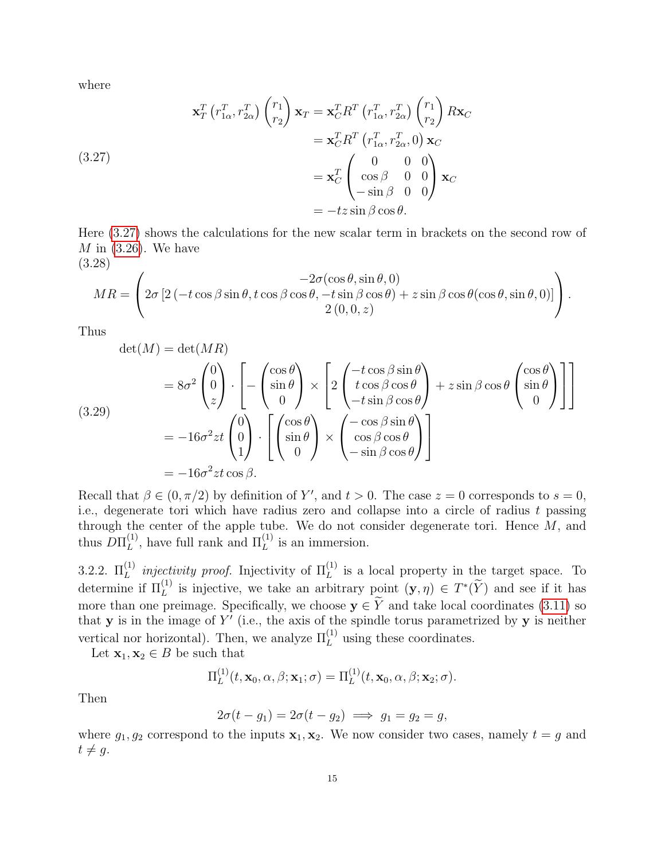where

<span id="page-14-0"></span>(3.27)  
\n
$$
\mathbf{x}_T^T (r_{1\alpha}^T, r_{2\alpha}^T) \begin{pmatrix} r_1 \\ r_2 \end{pmatrix} \mathbf{x}_T = \mathbf{x}_C^T R^T (r_{1\alpha}^T, r_{2\alpha}^T) \begin{pmatrix} r_1 \\ r_2 \end{pmatrix} R \mathbf{x}_C
$$
\n
$$
= \mathbf{x}_C^T R^T (r_{1\alpha}^T, r_{2\alpha}^T, 0) \mathbf{x}_C
$$
\n
$$
= \mathbf{x}_C^T \begin{pmatrix} 0 & 0 & 0 \\ \cos \beta & 0 & 0 \\ -\sin \beta & 0 & 0 \end{pmatrix} \mathbf{x}_C
$$
\n
$$
= -tz \sin \beta \cos \theta.
$$

Here [\(3.27\)](#page-14-0) shows the calculations for the new scalar term in brackets on the second row of  $M$  in  $(3.26)$ . We have

(3.28)

$$
MR = \left(2\sigma \left[2\left(-t\cos\beta\sin\theta, t\cos\beta\cos\theta, -t\sin\beta\cos\theta\right) + z\sin\beta\cos\theta(\cos\theta, \sin\theta, 0)\right]\right).
$$
  

$$
2(0, 0, z)
$$

Thus

$$
\det(M) = \det(MR)
$$
  
\n
$$
= 8\sigma^2 \begin{pmatrix} 0 \\ 0 \\ z \end{pmatrix} \cdot \left[ -\begin{pmatrix} \cos \theta \\ \sin \theta \\ 0 \end{pmatrix} \times \left[ 2 \begin{pmatrix} -t \cos \beta \sin \theta \\ t \cos \beta \cos \theta \\ -t \sin \beta \cos \theta \end{pmatrix} + z \sin \beta \cos \theta \begin{pmatrix} \cos \theta \\ \sin \theta \\ 0 \end{pmatrix} \right] \right]
$$
  
\n
$$
= -16\sigma^2 z t \begin{pmatrix} 0 \\ 0 \\ 1 \end{pmatrix} \cdot \left[ \begin{pmatrix} \cos \theta \\ \sin \theta \\ 0 \end{pmatrix} \times \begin{pmatrix} -\cos \beta \sin \theta \\ \cos \beta \cos \theta \\ -\sin \beta \cos \theta \end{pmatrix} \right]
$$
  
\n
$$
= -16\sigma^2 z t \cos \beta.
$$

Recall that  $\beta \in (0, \pi/2)$  by definition of Y', and  $t > 0$ . The case  $z = 0$  corresponds to  $s = 0$ , i.e., degenerate tori which have radius zero and collapse into a circle of radius  $t$  passing through the center of the apple tube. We do not consider degenerate tori. Hence  $M$ , and thus  $D\Pi_L^{(1)}$  $L_L^{(1)}$ , have full rank and  $\Pi_L^{(1)}$  is an immersion.

3.2.2.  $\Pi_L^{(1)}$  *injectivity proof.* Injectivity of  $\Pi_L^{(1)}$  is a local property in the target space. To determine if  $\Pi_L^{(1)}$  is injective, we take an arbitrary point  $(\mathbf{y}, \eta) \in T^*(\widetilde{Y})$  and see if it has more than one preimage. Specifically, we choose  $y \in \tilde{Y}$  and take local coordinates [\(3.11\)](#page-9-1) so that  $y$  is in the image of Y' (i.e., the axis of the spindle torus parametrized by  $y$  is neither vertical nor horizontal). Then, we analyze  $\Pi_L^{(1)}$  using these coordinates.

Let  $\mathbf{x}_1, \mathbf{x}_2 \in B$  be such that

$$
\Pi_L^{(1)}(t,\mathbf{x}_0,\alpha,\beta;\mathbf{x}_1;\sigma)=\Pi_L^{(1)}(t,\mathbf{x}_0,\alpha,\beta;\mathbf{x}_2;\sigma).
$$

Then

$$
2\sigma(t - g_1) = 2\sigma(t - g_2) \implies g_1 = g_2 = g,
$$

where  $g_1, g_2$  correspond to the inputs  $x_1, x_2$ . We now consider two cases, namely  $t = g$  and  $t \neq g$ .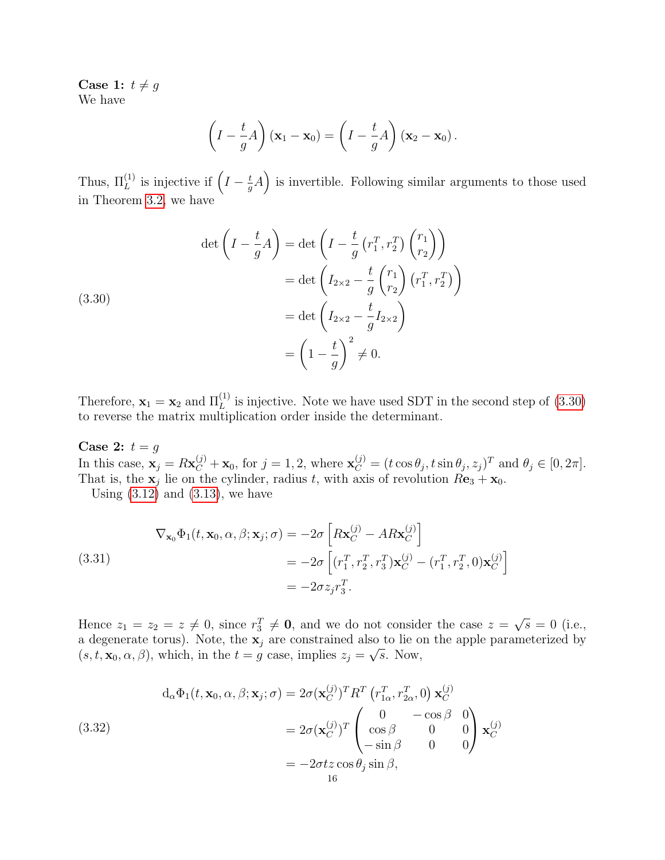Case 1:  $t \neq g$ We have

$$
\left(I-\frac{t}{g}A\right)(\mathbf{x}_1-\mathbf{x}_0)=\left(I-\frac{t}{g}A\right)(\mathbf{x}_2-\mathbf{x}_0).
$$

Thus,  $\Pi_L^{(1)}$  is injective if  $\left(I - \frac{t}{q}\right)$  $(\frac{t}{g}A)$  is invertible. Following similar arguments to those used in Theorem [3.2,](#page-8-0) we have

<span id="page-15-0"></span>(3.30)  
\n
$$
\det \left( I - \frac{t}{g} A \right) = \det \left( I - \frac{t}{g} \left( r_1^T, r_2^T \right) \binom{r_1}{r_2} \right)
$$
\n
$$
= \det \left( I_{2 \times 2} - \frac{t}{g} \binom{r_1}{r_2} \left( r_1^T, r_2^T \right) \right)
$$
\n
$$
= \det \left( I_{2 \times 2} - \frac{t}{g} I_{2 \times 2} \right)
$$
\n
$$
= \left( 1 - \frac{t}{g} \right)^2 \neq 0.
$$

Therefore,  $\mathbf{x}_1 = \mathbf{x}_2$  and  $\Pi_L^{(1)}$  is injective. Note we have used SDT in the second step of [\(3.30\)](#page-15-0) to reverse the matrix multiplication order inside the determinant.

Case 2:  $t = g$ In this case,  $\mathbf{x}_j = R \mathbf{x}_C^{(j)} + \mathbf{x}_0$ , for  $j = 1, 2$ , where  $\mathbf{x}_C^{(j)} = (t \cos \theta_j, t \sin \theta_j, z_j)^T$  and  $\theta_j \in [0, 2\pi]$ . That is, the  $x_j$  lie on the cylinder, radius t, with axis of revolution  $R\mathbf{e}_3 + \mathbf{x}_0$ .

Using  $(3.12)$  and  $(3.13)$ , we have

(3.31)  
\n
$$
\nabla_{\mathbf{x}_0} \Phi_1(t, \mathbf{x}_0, \alpha, \beta; \mathbf{x}_j; \sigma) = -2\sigma \left[ R \mathbf{x}_C^{(j)} - AR \mathbf{x}_C^{(j)} \right]
$$
\n
$$
= -2\sigma \left[ (r_1^T, r_2^T, r_3^T) \mathbf{x}_C^{(j)} - (r_1^T, r_2^T, 0) \mathbf{x}_C^{(j)} \right]
$$
\n
$$
= -2\sigma z_j r_3^T.
$$

Hence  $z_1 = z_2 = z \neq 0$ , since  $r_3^T \neq \mathbf{0}$ , and we do not consider the case  $z =$ √  $\bar{s} = 0$  (i.e., a degenerate torus). Note, the  $\mathbf{x}_j$  are constrained also to lie on the apple parameterized by  $(s, t, \mathbf{x}_0, \alpha, \beta)$ , which, in the  $t = g$  case, implies  $z_j = \sqrt{s}$ . Now,

(3.32)  
\n
$$
d_{\alpha} \Phi_1(t, \mathbf{x}_0, \alpha, \beta; \mathbf{x}_j; \sigma) = 2\sigma (\mathbf{x}_C^{(j)})^T R^T (r_{1\alpha}^T, r_{2\alpha}^T, 0) \mathbf{x}_C^{(j)}
$$
\n
$$
= 2\sigma (\mathbf{x}_C^{(j)})^T \begin{pmatrix} 0 & -\cos\beta & 0 \\ \cos\beta & 0 & 0 \\ -\sin\beta & 0 & 0 \end{pmatrix} \mathbf{x}_C^{(j)}
$$
\n
$$
= -2\sigma tz \cos\theta_j \sin\beta,
$$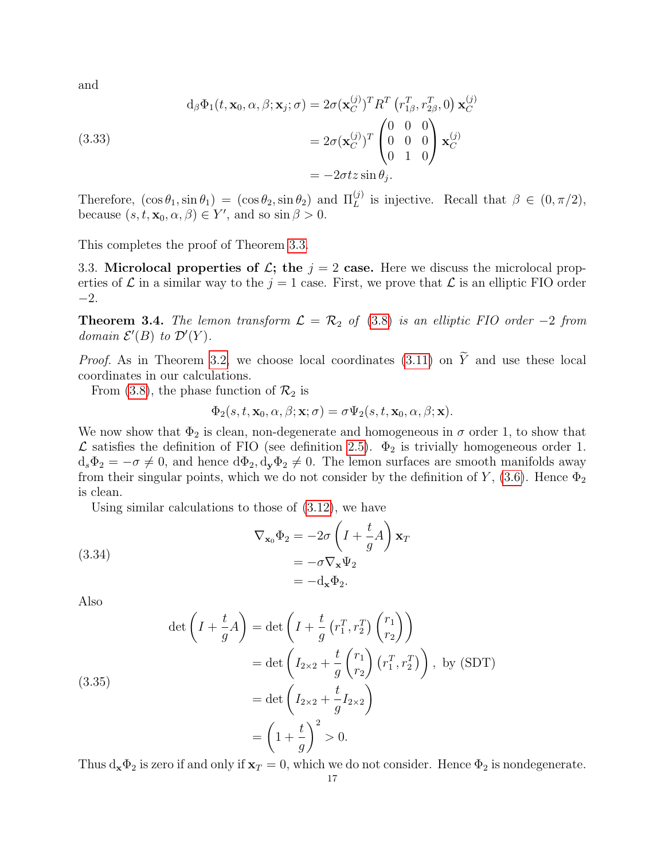and

(3.33)  
\n
$$
d_{\beta}\Phi_1(t, \mathbf{x}_0, \alpha, \beta; \mathbf{x}_j; \sigma) = 2\sigma(\mathbf{x}_C^{(j)})^T R^T (r_{1\beta}^T, r_{2\beta}^T, 0) \mathbf{x}_C^{(j)}
$$
\n
$$
= 2\sigma(\mathbf{x}_C^{(j)})^T \begin{pmatrix} 0 & 0 & 0 \\ 0 & 0 & 0 \\ 0 & 1 & 0 \end{pmatrix} \mathbf{x}_C^{(j)}
$$
\n
$$
= -2\sigma tz \sin \theta_j.
$$

Therefore,  $(\cos \theta_1, \sin \theta_1) = (\cos \theta_2, \sin \theta_2)$  and  $\Pi_L^{(j)}$  is injective. Recall that  $\beta \in (0, \pi/2)$ , because  $(s, t, \mathbf{x}_0, \alpha, \beta) \in Y'$ , and so  $\sin \beta > 0$ .

This completes the proof of Theorem [3.3.](#page-10-0)

3.3. Microlocal properties of  $\mathcal{L}$ ; the  $j = 2$  case. Here we discuss the microlocal properties of  $\mathcal L$  in a similar way to the  $j = 1$  case. First, we prove that  $\mathcal L$  is an elliptic FIO order −2.

**Theorem 3.4.** The lemon transform  $\mathcal{L} = \mathcal{R}_2$  of [\(3.8\)](#page-7-3) is an elliptic FIO order -2 from domain  $\mathcal{E}'(B)$  to  $\mathcal{D}'(Y)$ .

*Proof.* As in Theorem [3.2,](#page-8-0) we choose local coordinates [\(3.11\)](#page-9-1) on  $\tilde{Y}$  and use these local coordinates in our calculations.

From [\(3.8\)](#page-7-3), the phase function of  $\mathcal{R}_2$  is

$$
\Phi_2(s, t, \mathbf{x}_0, \alpha, \beta; \mathbf{x}; \sigma) = \sigma \Psi_2(s, t, \mathbf{x}_0, \alpha, \beta; \mathbf{x}).
$$

We now show that  $\Phi_2$  is clean, non-degenerate and homogeneous in  $\sigma$  order 1, to show that  $\mathcal L$  satisfies the definition of FIO (see definition [2.5\)](#page-5-0).  $\Phi_2$  is trivially homogeneous order 1.  $d_s\Phi_2 = -\sigma \neq 0$ , and hence  $d\Phi_2, d_{\mathbf{v}}\Phi_2 \neq 0$ . The lemon surfaces are smooth manifolds away from their singular points, which we do not consider by the definition of Y, [\(3.6\)](#page-7-2). Hence  $\Phi_2$ is clean.

Using similar calculations to those of [\(3.12\)](#page-9-0), we have

(3.34)  
\n
$$
\nabla_{\mathbf{x}_0} \Phi_2 = -2\sigma \left( I + \frac{t}{g} A \right) \mathbf{x}_T
$$
\n
$$
= -\sigma \nabla_{\mathbf{x}} \Psi_2
$$
\n
$$
= -d_{\mathbf{x}} \Phi_2.
$$

Also

(3.35)  
\n
$$
\det \left( I + \frac{t}{g} A \right) = \det \left( I + \frac{t}{g} \left( r_1^T, r_2^T \right) \binom{r_1}{r_2} \right)
$$
\n
$$
= \det \left( I_{2 \times 2} + \frac{t}{g} \binom{r_1}{r_2} \left( r_1^T, r_2^T \right) \right), \text{ by (SDT)}
$$
\n
$$
= \det \left( I_{2 \times 2} + \frac{t}{g} I_{2 \times 2} \right)
$$
\n
$$
= \left( 1 + \frac{t}{g} \right)^2 > 0.
$$

Thus  $d_{\mathbf{x}}\Phi_2$  is zero if and only if  $\mathbf{x}_T = 0$ , which we do not consider. Hence  $\Phi_2$  is nondegenerate.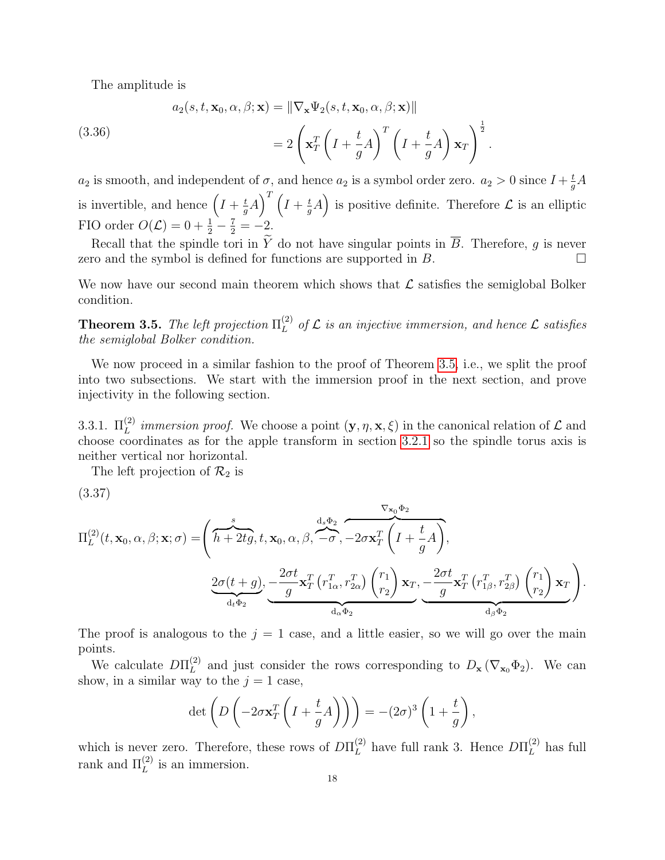The amplitude is

(3.36)  

$$
a_2(s, t, \mathbf{x}_0, \alpha, \beta; \mathbf{x}) = ||\nabla_{\mathbf{x}} \Psi_2(s, t, \mathbf{x}_0, \alpha, \beta; \mathbf{x})||
$$

$$
= 2 \left( \mathbf{x}_T^T \left( I + \frac{t}{g} A \right)^T \left( I + \frac{t}{g} A \right) \mathbf{x}_T \right)^{\frac{1}{2}}
$$

 $a_2$  is smooth, and independent of  $\sigma$ , and hence  $a_2$  is a symbol order zero.  $a_2 > 0$  since  $I + \frac{t}{a}$  $\frac{t}{g}A$ is invertible, and hence  $\left(1+\frac{t}{a}\right)$  $\frac{t}{g}A$ <sup>T</sup>  $\left(I+\frac{t}{g}\right)$  $\left(\frac{t}{g}A\right)$  is positive definite. Therefore  $\mathcal L$  is an elliptic FIO order  $O(\mathcal{L}) = 0 + \frac{1}{2} - \frac{7}{2} = -2$ .

.

Recall that the spindle tori in  $\widetilde{Y}$  do not have singular points in  $\overline{B}$ . Therefore, g is never ro and the symbol is defined for functions are supported in  $B$ . zero and the symbol is defined for functions are supported in B.

We now have our second main theorem which shows that  $\mathcal L$  satisfies the semiglobal Bolker condition.

<span id="page-17-0"></span>**Theorem 3.5.** The left projection  $\Pi_L^{(2)}$  $\mathcal{L}_{L}^{(2)}$  of  $\mathcal L$  is an injective immersion, and hence  $\mathcal L$  satisfies the semiglobal Bolker condition.

We now proceed in a similar fashion to the proof of Theorem [3.5,](#page-17-0) i.e., we split the proof into two subsections. We start with the immersion proof in the next section, and prove injectivity in the following section.

3.3.1.  $\Pi_L^{(2)}$  immersion proof. We choose a point  $(\mathbf{y}, \eta, \mathbf{x}, \xi)$  in the canonical relation of  $\mathcal L$  and choose coordinates as for the apple transform in section [3.2.1](#page-10-1) so the spindle torus axis is neither vertical nor horizontal.

The left projection of  $\mathcal{R}_2$  is

(3.37)

<span id="page-17-1"></span>
$$
\Pi_{L}^{(2)}(t, \mathbf{x}_{0}, \alpha, \beta; \mathbf{x}; \sigma) = \left(\begin{matrix} \frac{s}{h+2tg}, t, \mathbf{x}_{0}, \alpha, \beta, \frac{d_{s}\Phi_{2}}{-\sigma}, -2\sigma\mathbf{x}_{T}^{T}\left(I + \frac{t}{g}A\right), \end{matrix}\right) - \underbrace{\frac{2\sigma t}{g}\mathbf{x}_{0}^{T}\left(r_{1\alpha}^{T}, r_{2\alpha}^{T}\right)\left(\begin{matrix} r_{1} \\ r_{2} \end{matrix}\right)}_{d_{t}\Phi_{2}} \underbrace{\frac{2\sigma t}{g}\mathbf{x}_{T}^{T}\left(r_{1\alpha}^{T}, r_{2\alpha}^{T}\right)\left(\begin{matrix} r_{1} \\ r_{2} \end{matrix}\right)\mathbf{x}_{T}}_{d_{\alpha}\Phi_{2}}, \underbrace{\frac{2\sigma t}{g}\mathbf{x}_{T}^{T}\left(r_{1\beta}^{T}, r_{2\beta}^{T}\right)\left(\begin{matrix} r_{1} \\ r_{2} \end{matrix}\right)\mathbf{x}_{T}}_{d_{\beta}\Phi_{2}}\right).
$$

The proof is analogous to the  $j = 1$  case, and a little easier, so we will go over the main points.

We calculate  $D\Pi_L^{(2)}$  $L^{(2)}$  and just consider the rows corresponding to  $D_{\mathbf{x}}(\nabla_{\mathbf{x}_0}\Phi_2)$ . We can show, in a similar way to the  $j = 1$  case,

$$
\det\left(D\left(-2\sigma\mathbf{x}_T^T\left(I+\frac{t}{g}A\right)\right)\right) = -(2\sigma)^3\left(1+\frac{t}{g}\right),\,
$$

which is never zero. Therefore, these rows of  $D\Pi_L^{(2)}$  have full rank 3. Hence  $D\Pi_L^{(2)}$  has full rank and  $\Pi_L^{(2)}$  is an immersion.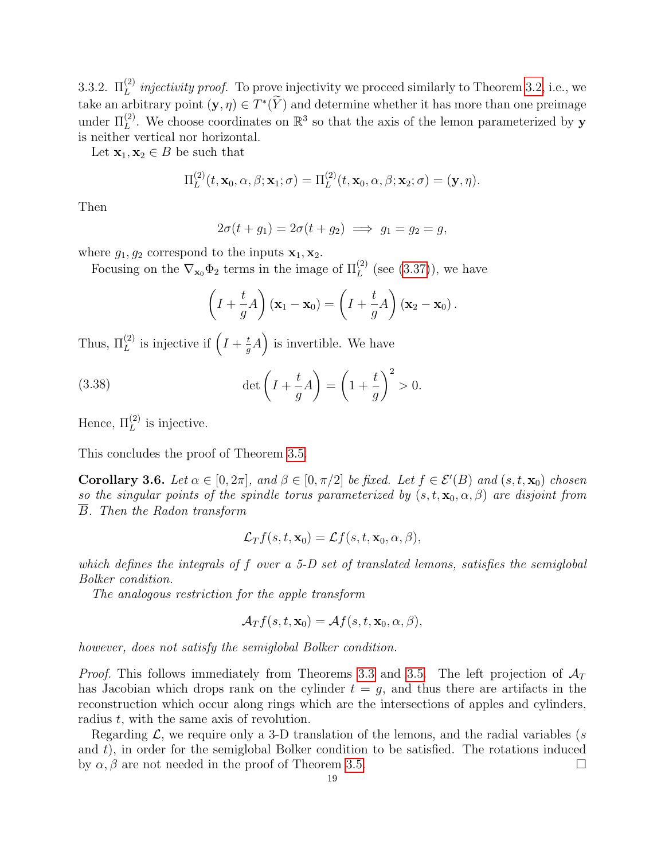3.3.2.  $\Pi_L^{(2)}$  *injectivity proof.* To prove injectivity we proceed similarly to Theorem [3.2,](#page-8-0) i.e., we take an arbitrary point  $(\mathbf{y}, \eta) \in T^*(Y)$  and determine whether it has more than one preimage under  $\Pi_L^{(2)}$ . We choose coordinates on  $\mathbb{R}^3$  so that the axis of the lemon parameterized by y is neither vertical nor horizontal.

Let  $\mathbf{x}_1, \mathbf{x}_2 \in B$  be such that

$$
\Pi_L^{(2)}(t, \mathbf{x}_0, \alpha, \beta; \mathbf{x}_1; \sigma) = \Pi_L^{(2)}(t, \mathbf{x}_0, \alpha, \beta; \mathbf{x}_2; \sigma) = (\mathbf{y}, \eta).
$$

Then

$$
2\sigma(t+g_1)=2\sigma(t+g_2) \implies g_1=g_2=g,
$$

where  $g_1, g_2$  correspond to the inputs  $\mathbf{x}_1, \mathbf{x}_2$ .

Focusing on the  $\nabla_{\mathbf{x}_0} \Phi_2$  terms in the image of  $\Pi_L^{(2)}$  (see [\(3.37\)](#page-17-1)), we have

$$
\left(I+\frac{t}{g}A\right)(\mathbf{x}_1-\mathbf{x}_0)=\left(I+\frac{t}{g}A\right)(\mathbf{x}_2-\mathbf{x}_0).
$$

Thus,  $\Pi_L^{(2)}$  is injective if  $\left(I + \frac{t}{q}\right)$  $(\frac{t}{g}A)$  is invertible. We have

(3.38) 
$$
\det\left(I + \frac{t}{g}A\right) = \left(1 + \frac{t}{g}\right)^2 > 0.
$$

Hence,  $\Pi_L^{(2)}$  is injective.

This concludes the proof of Theorem [3.5.](#page-17-0)

<span id="page-18-0"></span>**Corollary 3.6.** Let  $\alpha \in [0, 2\pi]$ , and  $\beta \in [0, \pi/2]$  be fixed. Let  $f \in \mathcal{E}'(B)$  and  $(s, t, \mathbf{x}_0)$  chosen so the singular points of the spindle torus parameterized by  $(s, t, \mathbf{x}_0, \alpha, \beta)$  are disjoint from B. Then the Radon transform

$$
\mathcal{L}_T f(s, t, \mathbf{x}_0) = \mathcal{L} f(s, t, \mathbf{x}_0, \alpha, \beta),
$$

which defines the integrals of f over a 5-D set of translated lemons, satisfies the semiglobal Bolker condition.

The analogous restriction for the apple transform

$$
\mathcal{A}_T f(s, t, \mathbf{x}_0) = \mathcal{A} f(s, t, \mathbf{x}_0, \alpha, \beta),
$$

however, does not satisfy the semiglobal Bolker condition.

*Proof.* This follows immediately from Theorems [3.3](#page-10-0) and [3.5.](#page-17-0) The left projection of  $A_T$ has Jacobian which drops rank on the cylinder  $t = g$ , and thus there are artifacts in the reconstruction which occur along rings which are the intersections of apples and cylinders, radius t, with the same axis of revolution.

Regarding  $\mathcal{L}$ , we require only a 3-D translation of the lemons, and the radial variables (s and  $t$ ), in order for the semiglobal Bolker condition to be satisfied. The rotations induced by  $\alpha, \beta$  are not needed in the proof of Theorem [3.5.](#page-17-0)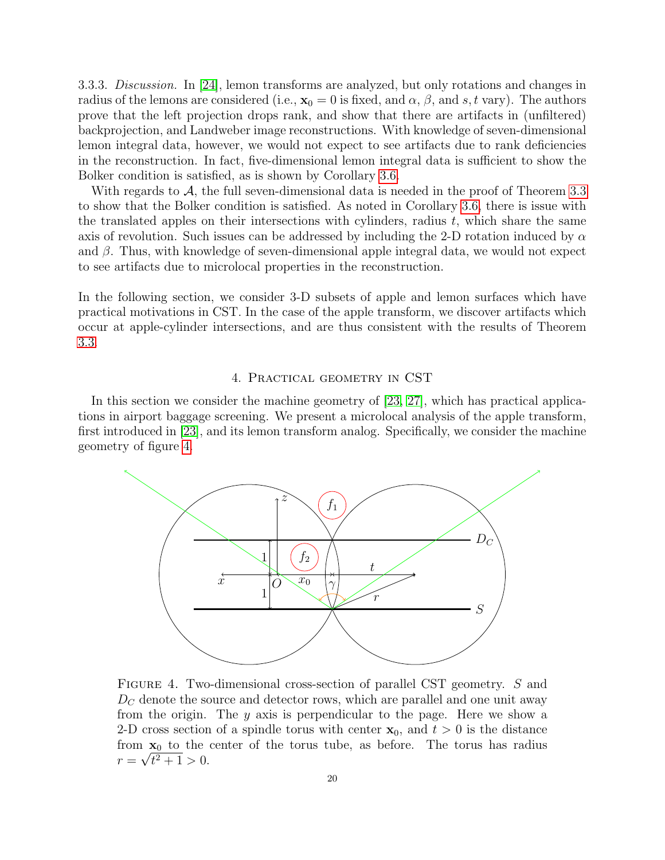3.3.3. Discussion. In [\[24\]](#page-28-2), lemon transforms are analyzed, but only rotations and changes in radius of the lemons are considered (i.e.,  $\mathbf{x}_0 = 0$  is fixed, and  $\alpha$ ,  $\beta$ , and s, t vary). The authors prove that the left projection drops rank, and show that there are artifacts in (unfiltered) backprojection, and Landweber image reconstructions. With knowledge of seven-dimensional lemon integral data, however, we would not expect to see artifacts due to rank deficiencies in the reconstruction. In fact, five-dimensional lemon integral data is sufficient to show the Bolker condition is satisfied, as is shown by Corollary [3.6.](#page-18-0)

With regards to  $A$ , the full seven-dimensional data is needed in the proof of Theorem [3.3](#page-10-0) to show that the Bolker condition is satisfied. As noted in Corollary [3.6,](#page-18-0) there is issue with the translated apples on their intersections with cylinders, radius  $t$ , which share the same axis of revolution. Such issues can be addressed by including the 2-D rotation induced by  $\alpha$ and  $\beta$ . Thus, with knowledge of seven-dimensional apple integral data, we would not expect to see artifacts due to microlocal properties in the reconstruction.

In the following section, we consider 3-D subsets of apple and lemon surfaces which have practical motivations in CST. In the case of the apple transform, we discover artifacts which occur at apple-cylinder intersections, and are thus consistent with the results of Theorem [3.3.](#page-10-0)

# 4. Practical geometry in CST

<span id="page-19-0"></span>In this section we consider the machine geometry of [\[23,](#page-28-3) [27\]](#page-28-10), which has practical applications in airport baggage screening. We present a microlocal analysis of the apple transform, first introduced in [\[23\]](#page-28-3), and its lemon transform analog. Specifically, we consider the machine geometry of figure [4.](#page-19-1)

<span id="page-19-1"></span>

FIGURE 4. Two-dimensional cross-section of parallel CST geometry. S and  $D<sub>C</sub>$  denote the source and detector rows, which are parallel and one unit away from the origin. The y axis is perpendicular to the page. Here we show a 2-D cross section of a spindle torus with center  $x_0$ , and  $t > 0$  is the distance from  $\mathbf{x}_0$  to the center of the torus tube, as before. The torus has radius  $r = \sqrt{t^2 + 1} > 0.$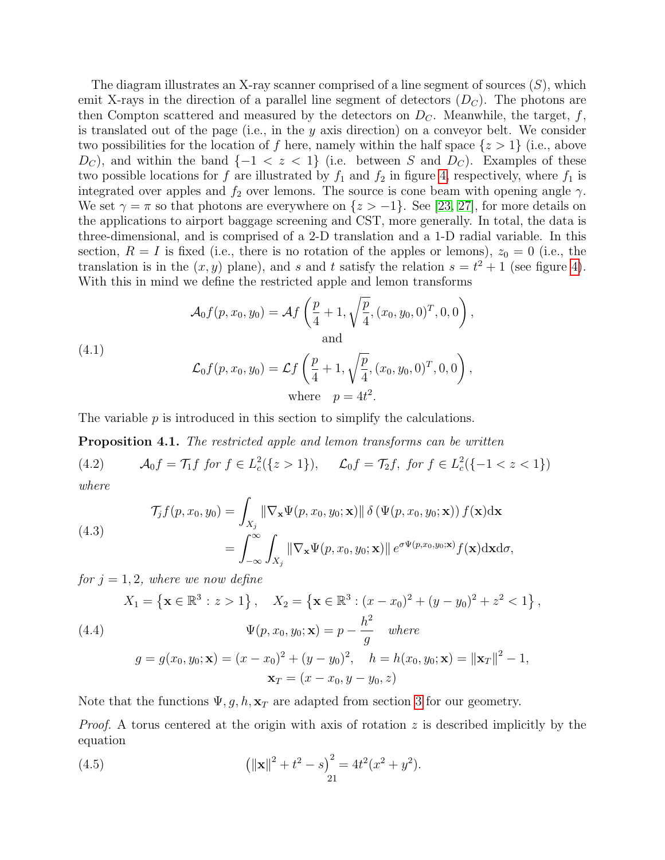The diagram illustrates an X-ray scanner comprised of a line segment of sources  $(S)$ , which emit X-rays in the direction of a parallel line segment of detectors  $(D<sub>C</sub>)$ . The photons are then Compton scattered and measured by the detectors on  $D<sub>C</sub>$ . Meanwhile, the target, f, is translated out of the page (i.e., in the  $y$  axis direction) on a conveyor belt. We consider two possibilities for the location of f here, namely within the half space  $\{z > 1\}$  (i.e., above  $D<sub>C</sub>$ , and within the band  $\{-1 < z < 1\}$  (i.e. between S and  $D<sub>C</sub>$ ). Examples of these two possible locations for f are illustrated by  $f_1$  and  $f_2$  in figure [4,](#page-19-1) respectively, where  $f_1$  is integrated over apples and  $f_2$  over lemons. The source is cone beam with opening angle  $\gamma$ . We set  $\gamma = \pi$  so that photons are everywhere on  $\{z > -1\}$ . See [\[23,](#page-28-3) [27\]](#page-28-10), for more details on the applications to airport baggage screening and CST, more generally. In total, the data is three-dimensional, and is comprised of a 2-D translation and a 1-D radial variable. In this section,  $R = I$  is fixed (i.e., there is no rotation of the apples or lemons),  $z_0 = 0$  (i.e., the translation is in the  $(x, y)$  plane), and s and t satisfy the relation  $s = t^2 + 1$  (see figure [4\)](#page-19-1). With this in mind we define the restricted apple and lemon transforms

(4.1) 
$$
\mathcal{A}_0 f(p, x_0, y_0) = \mathcal{A} f\left(\frac{p}{4} + 1, \sqrt{\frac{p}{4}}, (x_0, y_0, 0)^T, 0, 0\right),
$$
and

<span id="page-20-2"></span>
$$
\mathcal{L}_0 f(p, x_0, y_0) = \mathcal{L} f\left(\frac{p}{4} + 1, \sqrt{\frac{p}{4}}, (x_0, y_0, 0)^T, 0, 0\right),
$$
  
where  $p = 4t^2$ .

The variable  $p$  is introduced in this section to simplify the calculations.

Proposition 4.1. The restricted apple and lemon transforms can be written

<span id="page-20-0"></span>(4.2)  $\mathcal{A}_0 f = \mathcal{T}_1 f$  for  $f \in L_c^2({z > 1})$ ,  $\mathcal{L}_0 f = \mathcal{T}_2 f$ , for  $f \in L_c^2({{-1 < z < 1}})$ where

<span id="page-20-1"></span>(4.3)  

$$
\mathcal{T}_j f(p, x_0, y_0) = \int_{X_j} \|\nabla_{\mathbf{x}} \Psi(p, x_0, y_0; \mathbf{x})\| \delta \left(\Psi(p, x_0, y_0; \mathbf{x})\right) f(\mathbf{x}) d\mathbf{x}
$$

$$
= \int_{-\infty}^{\infty} \int_{X_j} \|\nabla_{\mathbf{x}} \Psi(p, x_0, y_0; \mathbf{x})\| e^{\sigma \Psi(p, x_0, y_0; \mathbf{x})} f(\mathbf{x}) d\mathbf{x} d\sigma,
$$

for  $j = 1, 2$ , where we now define

(4.4)  
\n
$$
X_1 = \left\{ \mathbf{x} \in \mathbb{R}^3 : z > 1 \right\}, \quad X_2 = \left\{ \mathbf{x} \in \mathbb{R}^3 : (x - x_0)^2 + (y - y_0)^2 + z^2 < 1 \right\},
$$
\n
$$
\Psi(p, x_0, y_0; \mathbf{x}) = p - \frac{h^2}{g} \quad \text{where}
$$

$$
g = g(x_0, y_0; \mathbf{x}) = (x - x_0)^2 + (y - y_0)^2, \quad h = h(x_0, y_0; \mathbf{x}) = ||\mathbf{x}_T||^2 - 1,
$$

$$
\mathbf{x}_T = (x - x_0, y - y_0, z)
$$

Note that the functions  $\Psi$ , g, h,  $\mathbf{x}_T$  are adapted from section [3](#page-6-0) for our geometry.

*Proof.* A torus centered at the origin with axis of rotation z is described implicitly by the equation

(4.5) 
$$
\left(\|\mathbf{x}\|^2 + t^2 - s\right)^2 = 4t^2(x^2 + y^2).
$$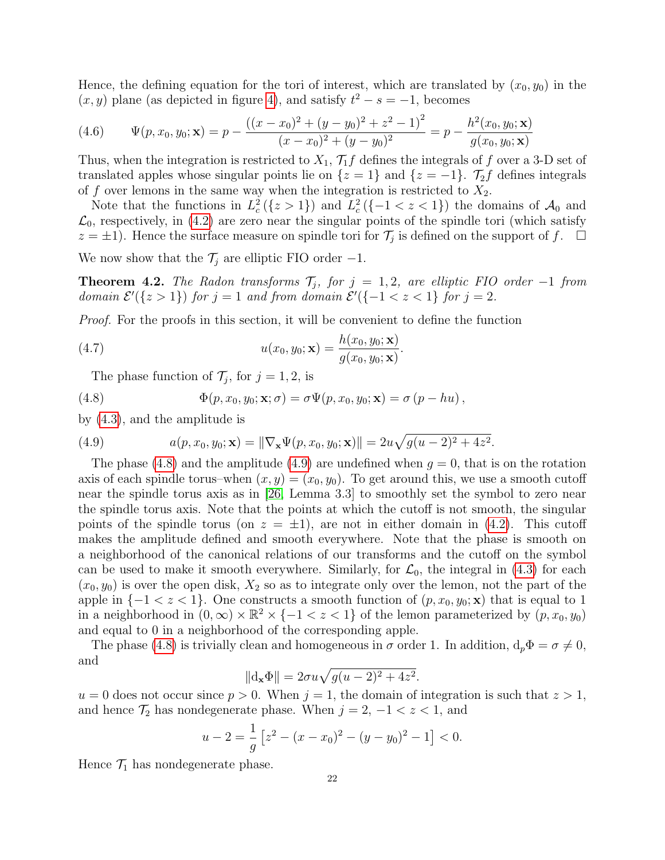Hence, the defining equation for the tori of interest, which are translated by  $(x_0, y_0)$  in the  $(x, y)$  plane (as depicted in figure [4\)](#page-19-1), and satisfy  $t^2 - s = -1$ , becomes

(4.6) 
$$
\Psi(p, x_0, y_0; \mathbf{x}) = p - \frac{((x - x_0)^2 + (y - y_0)^2 + z^2 - 1)^2}{(x - x_0)^2 + (y - y_0)^2} = p - \frac{h^2(x_0, y_0; \mathbf{x})}{g(x_0, y_0; \mathbf{x})}
$$

Thus, when the integration is restricted to  $X_1$ ,  $\mathcal{T}_1 f$  defines the integrals of f over a 3-D set of translated apples whose singular points lie on  $\{z=1\}$  and  $\{z=-1\}$ .  $\mathcal{T}_2 f$  defines integrals of f over lemons in the same way when the integration is restricted to  $X_2$ .

Note that the functions in  $L_c^2({z>1})$  and  $L_c^2({{-1 < z < 1}})$  the domains of  $\mathcal{A}_0$  and  $\mathcal{L}_0$ , respectively, in [\(4.2\)](#page-20-0) are zero near the singular points of the spindle tori (which satisfy  $z = \pm 1$ ). Hence the surface measure on spindle tori for  $\mathcal{T}_j$  is defined on the support of f.  $\Box$ 

We now show that the  $\mathcal{T}_i$  are elliptic FIO order −1.

**Theorem 4.2.** The Radon transforms  $\mathcal{T}_j$ , for  $j = 1, 2$ , are elliptic FIO order -1 from domain  $\mathcal{E}'(\{z>1\})$  for  $j=1$  and from domain  $\mathcal{E}'(\{-1 < z < 1\})$  for  $j=2$ .

Proof. For the proofs in this section, it will be convenient to define the function

(4.7) 
$$
u(x_0, y_0; \mathbf{x}) = \frac{h(x_0, y_0; \mathbf{x})}{g(x_0, y_0; \mathbf{x})}.
$$

<span id="page-21-0"></span>The phase function of  $\mathcal{T}_j$ , for  $j = 1, 2$ , is

(4.8) 
$$
\Phi(p, x_0, y_0; \mathbf{x}; \sigma) = \sigma \Psi(p, x_0, y_0; \mathbf{x}) = \sigma (p - hu),
$$

by [\(4.3\)](#page-20-1), and the amplitude is

<span id="page-21-1"></span>(4.9) 
$$
a(p, x_0, y_0; \mathbf{x}) = \|\nabla_{\mathbf{x}} \Psi(p, x_0, y_0; \mathbf{x})\| = 2u\sqrt{g(u-2)^2 + 4z^2}.
$$

The phase [\(4.8\)](#page-21-0) and the amplitude [\(4.9\)](#page-21-1) are undefined when  $q = 0$ , that is on the rotation axis of each spindle torus–when  $(x, y) = (x_0, y_0)$ . To get around this, we use a smooth cutoff near the spindle torus axis as in [\[26,](#page-28-15) Lemma 3.3] to smoothly set the symbol to zero near the spindle torus axis. Note that the points at which the cutoff is not smooth, the singular points of the spindle torus (on  $z = \pm 1$ ), are not in either domain in [\(4.2\)](#page-20-0). This cutoff makes the amplitude defined and smooth everywhere. Note that the phase is smooth on a neighborhood of the canonical relations of our transforms and the cutoff on the symbol can be used to make it smooth everywhere. Similarly, for  $\mathcal{L}_0$ , the integral in [\(4.3\)](#page-20-1) for each  $(x_0, y_0)$  is over the open disk,  $X_2$  so as to integrate only over the lemon, not the part of the apple in  $\{-1 < z < 1\}$ . One constructs a smooth function of  $(p, x_0, y_0; \mathbf{x})$  that is equal to 1 in a neighborhood in  $(0, \infty) \times \mathbb{R}^2 \times \{-1 < z < 1\}$  of the lemon parameterized by  $(p, x_0, y_0)$ and equal to 0 in a neighborhood of the corresponding apple.

The phase [\(4.8\)](#page-21-0) is trivially clean and homogeneous in  $\sigma$  order 1. In addition,  $d_p\Phi = \sigma \neq 0$ , and

$$
\|\mathrm{d}_{\mathbf{x}}\Phi\| = 2\sigma u \sqrt{g(u-2)^2 + 4z^2}.
$$

 $u = 0$  does not occur since  $p > 0$ . When  $j = 1$ , the domain of integration is such that  $z > 1$ , and hence  $\mathcal{T}_2$  has nondegenerate phase. When  $j = 2, -1 < z < 1$ , and

$$
u-2=\frac{1}{g}\left[z^2-(x-x_0)^2-(y-y_0)^2-1\right]<0.
$$

Hence  $\mathcal{T}_1$  has nondegenerate phase.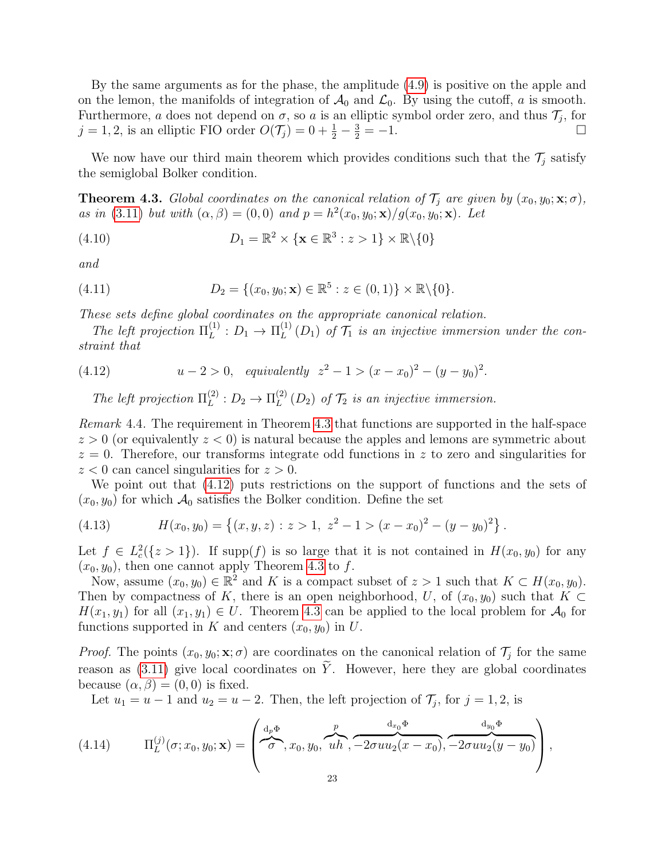By the same arguments as for the phase, the amplitude [\(4.9\)](#page-21-1) is positive on the apple and on the lemon, the manifolds of integration of  $\mathcal{A}_0$  and  $\mathcal{L}_0$ . By using the cutoff, a is smooth. Furthermore, a does not depend on  $\sigma$ , so a is an elliptic symbol order zero, and thus  $\mathcal{T}_j$ , for  $j = 1, 2$ , is an elliptic FIO order  $O(\mathcal{T}_j) = 0 + \frac{1}{2} - \frac{3}{2} = -1$ . □

We now have our third main theorem which provides conditions such that the  $\mathcal{T}_i$  satisfy the semiglobal Bolker condition.

<span id="page-22-0"></span>**Theorem 4.3.** Global coordinates on the canonical relation of  $\mathcal{T}_i$  are given by  $(x_0, y_0; \mathbf{x}; \sigma)$ , as in [\(3.11\)](#page-9-1) but with  $(\alpha, \beta) = (0, 0)$  and  $p = h^2(x_0, y_0; \mathbf{x})/g(x_0, y_0; \mathbf{x})$ . Let

(4.10) 
$$
D_1 = \mathbb{R}^2 \times \{ \mathbf{x} \in \mathbb{R}^3 : z > 1 \} \times \mathbb{R} \setminus \{0\}
$$

and

(4.11) 
$$
D_2 = \{(x_0, y_0; \mathbf{x}) \in \mathbb{R}^5 : z \in (0, 1)\} \times \mathbb{R} \setminus \{0\}.
$$

These sets define global coordinates on the appropriate canonical relation.

The left projection  $\Pi_L^{(1)}$  $L^{(1)}: D_1 \to \Pi_L^{(1)}$  $\mathcal{L}_{L}^{(1)}(D_1)$  of  $\mathcal{T}_1$  is an injective immersion under the constraint that

(4.12) 
$$
u-2>0
$$
, equivalently  $z^2-1 > (x-x_0)^2 - (y-y_0)^2$ .

<span id="page-22-1"></span>The left projection  $\Pi_L^{(2)}$  $L^{(2)}: D_2 \to \Pi_L^{(2)}$  $\mathcal{L}_{L}^{(2)}(D_2)$  of  $\mathcal{T}_2$  is an injective immersion.

<span id="page-22-2"></span>Remark 4.4. The requirement in Theorem [4.3](#page-22-0) that functions are supported in the half-space  $z > 0$  (or equivalently  $z < 0$ ) is natural because the apples and lemons are symmetric about  $z = 0$ . Therefore, our transforms integrate odd functions in z to zero and singularities for  $z < 0$  can cancel singularities for  $z > 0$ .

We point out that [\(4.12\)](#page-22-1) puts restrictions on the support of functions and the sets of  $(x_0, y_0)$  for which  $\mathcal{A}_0$  satisfies the Bolker condition. Define the set

(4.13) 
$$
H(x_0, y_0) = \{(x, y, z) : z > 1, z^2 - 1 > (x - x_0)^2 - (y - y_0)^2\}.
$$

Let  $f \in L_c^2({z > 1})$ . If supp $(f)$  is so large that it is not contained in  $H(x_0, y_0)$  for any  $(x_0, y_0)$ , then one cannot apply Theorem [4.3](#page-22-0) to f.

Now, assume  $(x_0, y_0) \in \mathbb{R}^2$  and K is a compact subset of  $z > 1$  such that  $K \subset H(x_0, y_0)$ . Then by compactness of K, there is an open neighborhood, U, of  $(x_0, y_0)$  such that K ⊂  $H(x_1, y_1)$  for all  $(x_1, y_1) \in U$ . Theorem [4.3](#page-22-0) can be applied to the local problem for  $\mathcal{A}_0$  for functions supported in K and centers  $(x_0, y_0)$  in U.

*Proof.* The points  $(x_0, y_0; \mathbf{x}; \sigma)$  are coordinates on the canonical relation of  $\mathcal{T}_j$  for the same reason as [\(3.11\)](#page-9-1) give local coordinates on  $\tilde{Y}$ . However, here they are global coordinates because  $(\alpha, \beta) = (0, 0)$  is fixed.

Let  $u_1 = u - 1$  and  $u_2 = u - 2$ . Then, the left projection of  $\mathcal{T}_j$ , for  $j = 1, 2$ , is

(4.14) 
$$
\Pi_L^{(j)}(\sigma; x_0, y_0; \mathbf{x}) = \left( \begin{array}{c} d_p \Phi \\ \hline \\ \sigma \end{array}, x_0, y_0, \begin{array}{c} p \\ uh \\ ih \end{array}, -2\sigma u u_2(x - x_0), -2\sigma u u_2(y - y_0) \end{array} \right),
$$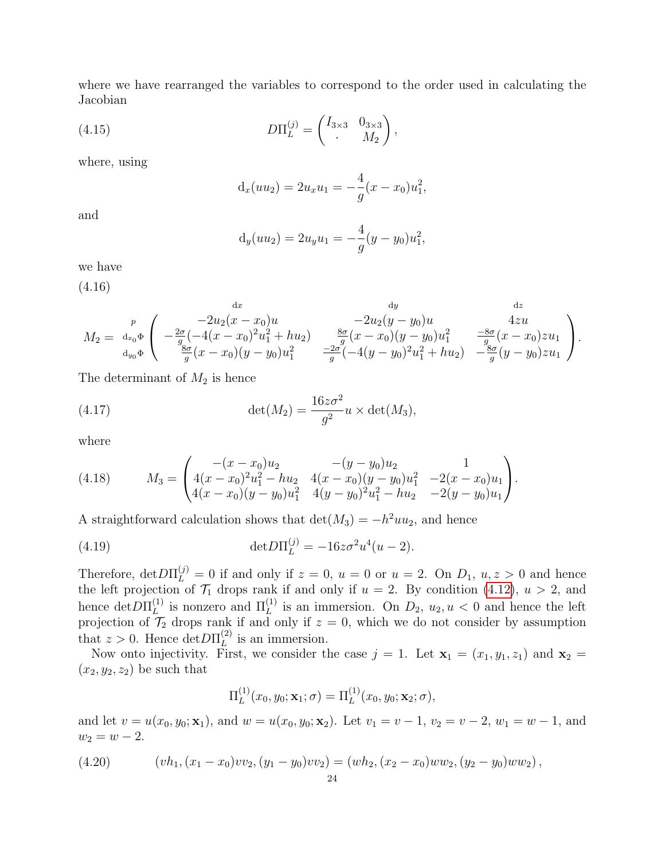where we have rearranged the variables to correspond to the order used in calculating the Jacobian

(4.15) 
$$
D\Pi_L^{(j)} = \begin{pmatrix} I_{3\times 3} & 0_{3\times 3} \\ . & M_2 \end{pmatrix},
$$

where, using

$$
d_x(uu_2) = 2u_xu_1 = -\frac{4}{g}(x - x_0)u_1^2,
$$

and

$$
d_y(uu_2) = 2u_yu_1 = -\frac{4}{g}(y - y_0)u_1^2,
$$

we have

(4.16)

$$
M_2 = \n\begin{array}{c}\n\frac{1}{4x} & \text{d}x \\
\frac{1}{2}x - 2u_2(x - x_0)u & \text{d}x \\
\frac{-2u_2(x - x_0)u}{u_2 - u_2 - u_2 - u_2} & \text{d}x \\
\frac{1}{2}u_2(x - x_0)u + 2u_2(x - x_0)u_2 & \text{d}x \\
\frac{1}{2}u_2(x - x_0)u + 2u_2(x - x_0)u_2 & \text{d}x \\
\frac{1}{2}u_2(x - x_0)u + 2u_2(x - x_0)u_2 & \text{d}x \\
\frac{1}{2}u_2(x - x_0)u + 2u_2(x - x_0)u_2 & \text{d}x \\
\frac{1}{2}u_2(x - x_0)u + 2u_2(x - x_0)u + 2u_2(x - x_0)u_2 & \text{d}x \\
\frac{1}{2}u_2(x - x_0)u + 2u_2(x - x_0)u + 2u_2(x - x_0)u_2 & \text{d}x \\
\frac{1}{2}u_2(x - x_0)u + 2u_2(x - x_0)u + 2u_2(x - x_0)u + 2u_2(x - x_0)u_2 & \text{d}x \\
\frac{1}{2}u_2(x - x_0)u + 2u_2(x - x_0)u + 2u_2(x - x_0)u + 2u_2(x - x_0)u_2 & \text{d}x \\
\frac{1}{2}u_2(x - x_0)u + 2u_2(x - x_0)u + 2u_2(x - x_0)u + 2u_2(x - x_0)u + 2u_2(x - x_0)u + 2u_2(x - x_0)u + 2u_2(x - x_0)u + 2u_2(x - x_0)u + 2u_2(x - x_0)u + 2u_2(x - x_0)u + 2u_2(x - x_0)u + 2u_2(x - x_0)u + 2u_2(x - x_0)u + 2u_2(x - x_0)u + 2u_2(x - x_0)u + 2u_2(x - x_0)u + 2u_2(x - x_0)u + 2u_2(x - x_0)u + 2
$$

The determinant of  $M_2$  is hence

(4.17) 
$$
\det(M_2) = \frac{16z\sigma^2}{g^2}u \times \det(M_3),
$$

where

(4.18) 
$$
M_3 = \begin{pmatrix} -(x - x_0)u_2 & -(y - y_0)u_2 & 1 \ 4(x - x_0)^2 u_1^2 - h u_2 & 4(x - x_0)(y - y_0)u_1^2 & -2(x - x_0)u_1 \ 4(x - x_0)(y - y_0)u_1^2 & 4(y - y_0)^2 u_1^2 - h u_2 & -2(y - y_0)u_1 \end{pmatrix}.
$$

A straightforward calculation shows that  $\det(M_3) = -h^2 u u_2$ , and hence

(4.19) 
$$
\det D\Pi_L^{(j)} = -16z\sigma^2 u^4(u-2).
$$

Therefore,  $\det D\Pi_L^{(j)} = 0$  if and only if  $z = 0$ ,  $u = 0$  or  $u = 2$ . On  $D_1$ ,  $u, z > 0$  and hence the left projection of  $\mathcal{T}_1$  drops rank if and only if  $u = 2$ . By condition [\(4.12\)](#page-22-1),  $u > 2$ , and hence  $\det D\Pi_L^{(1)}$  $L_L^{(1)}$  is nonzero and  $\Pi_L^{(1)}$  is an immersion. On  $D_2$ ,  $u_2$ ,  $u < 0$  and hence the left projection of  $\mathcal{T}_2$  drops rank if and only if  $z = 0$ , which we do not consider by assumption that  $z > 0$ . Hence  $\det D\Pi_L^{(2)}$  $L^{(2)}$  is an immersion.

Now onto injectivity. First, we consider the case  $j = 1$ . Let  $\mathbf{x}_1 = (x_1, y_1, z_1)$  and  $\mathbf{x}_2 =$  $(x_2, y_2, z_2)$  be such that

$$
\Pi_L^{(1)}(x_0,y_0;{\bf x}_1;\sigma)=\Pi_L^{(1)}(x_0,y_0;{\bf x}_2;\sigma),
$$

and let  $v = u(x_0, y_0; \mathbf{x}_1)$ , and  $w = u(x_0, y_0; \mathbf{x}_2)$ . Let  $v_1 = v - 1$ ,  $v_2 = v - 2$ ,  $w_1 = w - 1$ , and  $w_2 = w - 2.$ 

<span id="page-23-0"></span>(4.20) 
$$
(vh_1,(x_1-x_0)vv_2,(y_1-y_0)vv_2)=(wh_2,(x_2-x_0)ww_2,(y_2-y_0)ww_2),
$$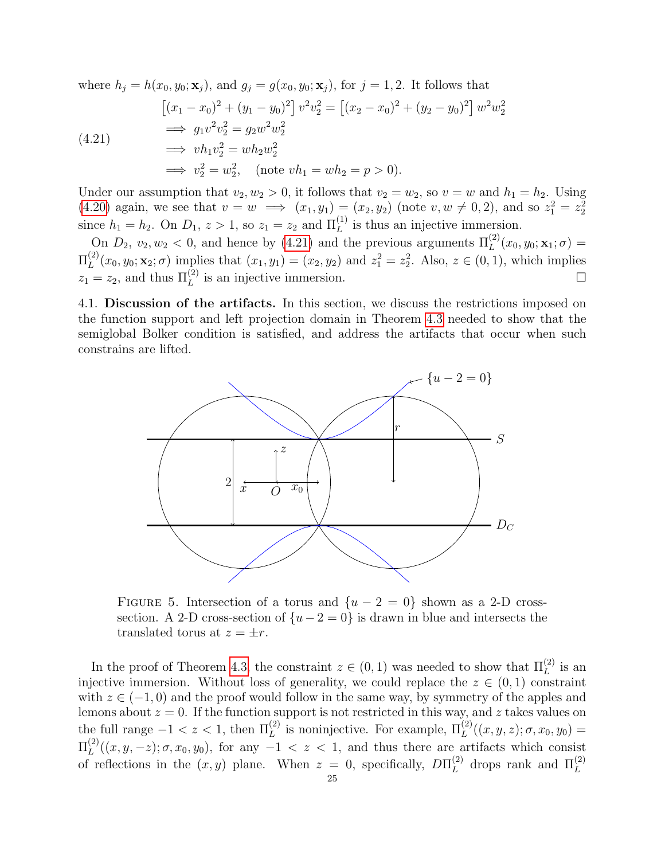where  $h_j = h(x_0, y_0; \mathbf{x}_j)$ , and  $g_j = g(x_0, y_0; \mathbf{x}_j)$ , for  $j = 1, 2$ . It follows that

<span id="page-24-0"></span>
$$
[(x_1 - x_0)^2 + (y_1 - y_0)^2] v^2 v_2^2 = [(x_2 - x_0)^2 + (y_2 - y_0)^2] w^2 w_2^2
$$
  
\n
$$
\implies g_1 v^2 v_2^2 = g_2 w^2 w_2^2
$$
  
\n
$$
\implies v h_1 v_2^2 = wh_2 w_2^2
$$
  
\n
$$
\implies v_2^2 = w_2^2, \quad (\text{note } vh_1 = wh_2 = p > 0).
$$

Under our assumption that  $v_2, w_2 > 0$ , it follows that  $v_2 = w_2$ , so  $v = w$  and  $h_1 = h_2$ . Using [\(4.20\)](#page-23-0) again, we see that  $v = w \implies (x_1, y_1) = (x_2, y_2)$  (note  $v, w \neq 0, 2$ ), and so  $z_1^2 = z_2^2$ since  $h_1 = h_2$ . On  $D_1$ ,  $z > 1$ , so  $z_1 = z_2$  and  $\Pi_L^{(1)}$  is thus an injective immersion.

On  $D_2, v_2, w_2 < 0$ , and hence by [\(4.21\)](#page-24-0) and the previous arguments  $\Pi_L^{(2)}(x_0, y_0; \mathbf{x}_1; \sigma) =$  $\Pi_L^{(2)}$  $L^{(2)}(x_0, y_0; \mathbf{x}_2; \sigma)$  implies that  $(x_1, y_1) = (x_2, y_2)$  and  $z_1^2 = z_2^2$ . Also,  $z \in (0, 1)$ , which implies  $z_1 = z_2$ , and thus  $\Pi_L^{(2)}$  is an injective immersion.

4.1. Discussion of the artifacts. In this section, we discuss the restrictions imposed on the function support and left projection domain in Theorem [4.3](#page-22-0) needed to show that the semiglobal Bolker condition is satisfied, and address the artifacts that occur when such constrains are lifted.

<span id="page-24-1"></span>

FIGURE 5. Intersection of a torus and  $\{u - 2 = 0\}$  shown as a 2-D crosssection. A 2-D cross-section of  $\{u-2=0\}$  is drawn in blue and intersects the translated torus at  $z = \pm r$ .

In the proof of Theorem [4.3,](#page-22-0) the constraint  $z \in (0,1)$  was needed to show that  $\Pi_L^{(2)}$  is an injective immersion. Without loss of generality, we could replace the  $z \in (0,1)$  constraint with  $z \in (-1,0)$  and the proof would follow in the same way, by symmetry of the apples and lemons about  $z = 0$ . If the function support is not restricted in this way, and z takes values on the full range  $-1 < z < 1$ , then  $\Pi_L^{(2)}$  is noninjective. For example,  $\Pi_L^{(2)}((x,y,z); \sigma, x_0, y_0) =$  $\Pi_L^{(2)}$  $L^{(2)}((x, y, -z); \sigma, x_0, y_0)$ , for any  $-1 < z < 1$ , and thus there are artifacts which consist of reflections in the  $(x, y)$  plane. When  $z = 0$ , specifically,  $D\Pi_L^{(2)}$  drops rank and  $\Pi_L^{(2)}$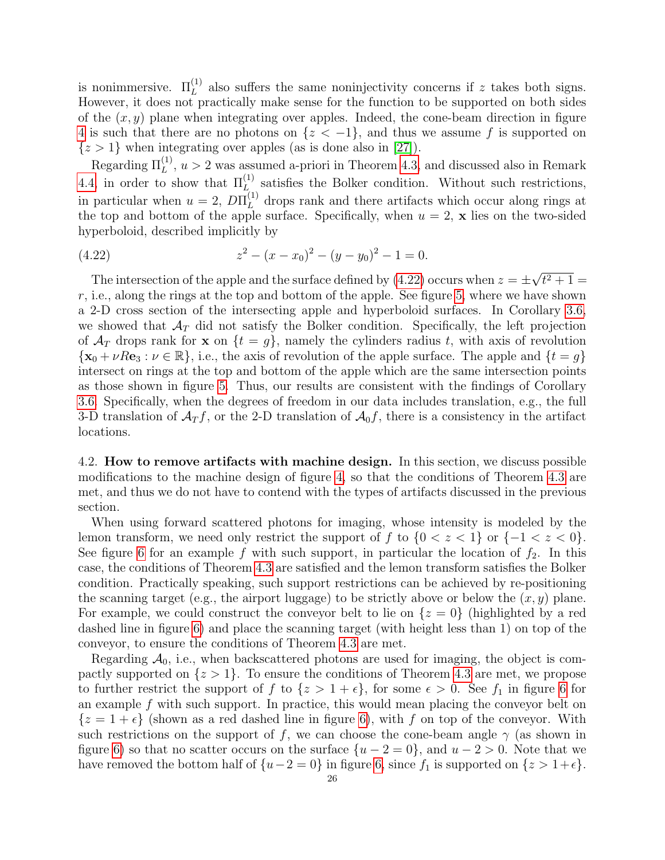is nonimmersive.  $\Pi_L^{(1)}$  also suffers the same noninjectivity concerns if z takes both signs. However, it does not practically make sense for the function to be supported on both sides of the  $(x, y)$  plane when integrating over apples. Indeed, the cone-beam direction in figure [4](#page-19-1) is such that there are no photons on  $\{z \leq -1\}$ , and thus we assume f is supported on  $\{z > 1\}$  when integrating over apples (as is done also in [\[27\]](#page-28-10)).

Regarding  $\Pi_L^{(1)}$ ,  $u > 2$  was assumed a-priori in Theorem [4.3,](#page-22-0) and discussed also in Remark [4.4,](#page-22-2) in order to show that  $\Pi_{L}^{(1)}$  satisfies the Bolker condition. Without such restrictions, in particular when  $u = 2$ ,  $D\Pi_L^{(1)}$  drops rank and there artifacts which occur along rings at the top and bottom of the apple surface. Specifically, when  $u = 2$ , x lies on the two-sided hyperboloid, described implicitly by

<span id="page-25-0"></span>(4.22) 
$$
z^2 - (x - x_0)^2 - (y - y_0)^2 - 1 = 0.
$$

The intersection of the apple and the surface defined by [\(4.22\)](#page-25-0) occurs when  $z = \pm$ √  $t^2 + 1 =$  $r$ , i.e., along the rings at the top and bottom of the apple. See figure [5,](#page-24-1) where we have shown a 2-D cross section of the intersecting apple and hyperboloid surfaces. In Corollary [3.6,](#page-18-0) we showed that  $A_T$  did not satisfy the Bolker condition. Specifically, the left projection of  $\mathcal{A}_T$  drops rank for **x** on  $\{t = g\}$ , namely the cylinders radius t, with axis of revolution  ${x_0+\nu Re_3: \nu\in\mathbb{R}},$  i.e., the axis of revolution of the apple surface. The apple and  ${t=g}$ intersect on rings at the top and bottom of the apple which are the same intersection points as those shown in figure [5.](#page-24-1) Thus, our results are consistent with the findings of Corollary [3.6.](#page-18-0) Specifically, when the degrees of freedom in our data includes translation, e.g., the full 3-D translation of  $\mathcal{A}_T f$ , or the 2-D translation of  $\mathcal{A}_0 f$ , there is a consistency in the artifact locations.

4.2. How to remove artifacts with machine design. In this section, we discuss possible modifications to the machine design of figure [4,](#page-19-1) so that the conditions of Theorem [4.3](#page-22-0) are met, and thus we do not have to contend with the types of artifacts discussed in the previous section.

When using forward scattered photons for imaging, whose intensity is modeled by the lemon transform, we need only restrict the support of f to  ${0 < z < 1}$  or  ${-1 < z < 0}$ . See figure [6](#page-26-0) for an example f with such support, in particular the location of  $f_2$ . In this case, the conditions of Theorem [4.3](#page-22-0) are satisfied and the lemon transform satisfies the Bolker condition. Practically speaking, such support restrictions can be achieved by re-positioning the scanning target (e.g., the airport luggage) to be strictly above or below the  $(x, y)$  plane. For example, we could construct the conveyor belt to lie on  $\{z=0\}$  (highlighted by a red dashed line in figure [6\)](#page-26-0) and place the scanning target (with height less than 1) on top of the conveyor, to ensure the conditions of Theorem [4.3](#page-22-0) are met.

Regarding  $A_0$ , i.e., when backscattered photons are used for imaging, the object is compactly supported on  $\{z > 1\}$ . To ensure the conditions of Theorem [4.3](#page-22-0) are met, we propose to further restrict the support of f to  $\{z > 1 + \epsilon\}$ , for some  $\epsilon > 0$ . See  $f_1$  in figure [6](#page-26-0) for an example f with such support. In practice, this would mean placing the conveyor belt on  ${z = 1 + \epsilon}$  (shown as a red dashed line in figure [6\)](#page-26-0), with f on top of the conveyor. With such restrictions on the support of f, we can choose the cone-beam angle  $\gamma$  (as shown in figure [6\)](#page-26-0) so that no scatter occurs on the surface  $\{u-2=0\}$ , and  $u-2>0$ . Note that we have removed the bottom half of  $\{u-2=0\}$  in figure [6,](#page-26-0) since  $f_1$  is supported on  $\{z>1+\epsilon\}$ .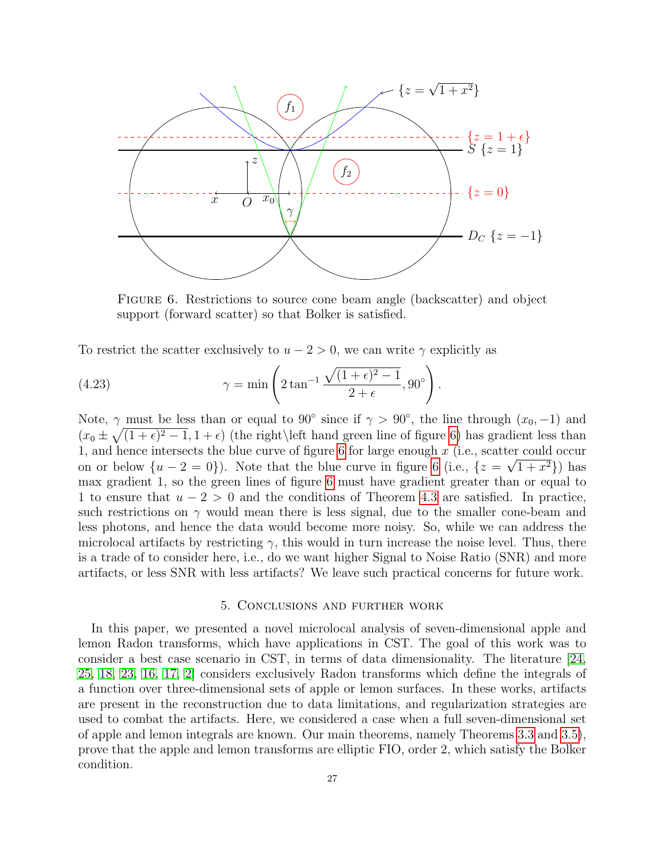<span id="page-26-0"></span>

Figure 6. Restrictions to source cone beam angle (backscatter) and object support (forward scatter) so that Bolker is satisfied.

To restrict the scatter exclusively to  $u - 2 > 0$ , we can write  $\gamma$  explicitly as

(4.23) 
$$
\gamma = \min \left( 2 \tan^{-1} \frac{\sqrt{(1+\epsilon)^2 - 1}}{2+\epsilon}, 90^\circ \right).
$$

Note,  $\gamma$  must be less than or equal to 90° since if  $\gamma > 90^{\circ}$ , the line through  $(x_0, -1)$  and  $(x_0 \pm \sqrt{(1+\epsilon)^2-1}, 1+\epsilon)$  (the right\left hand green line of figure [6\)](#page-26-0) has gradient less than 1, and hence intersects the blue curve of figure [6](#page-26-0) for large enough  $x$  (i.e., scatter could occur on or below  $\{u-2=0\}$ ). Note that the blue curve in figure [6](#page-26-0) (i.e.,  $\{z=\sqrt{1+x^2}\}\)$  has max gradient 1, so the green lines of figure [6](#page-26-0) must have gradient greater than or equal to 1 to ensure that  $u - 2 > 0$  and the conditions of Theorem [4.3](#page-22-0) are satisfied. In practice, such restrictions on  $\gamma$  would mean there is less signal, due to the smaller cone-beam and less photons, and hence the data would become more noisy. So, while we can address the microlocal artifacts by restricting  $\gamma$ , this would in turn increase the noise level. Thus, there is a trade of to consider here, i.e., do we want higher Signal to Noise Ratio (SNR) and more artifacts, or less SNR with less artifacts? We leave such practical concerns for future work.

# 5. Conclusions and further work

In this paper, we presented a novel microlocal analysis of seven-dimensional apple and lemon Radon transforms, which have applications in CST. The goal of this work was to consider a best case scenario in CST, in terms of data dimensionality. The literature [\[24,](#page-28-2) [25,](#page-28-0) [18,](#page-28-1) [23,](#page-28-3) [16,](#page-28-4) [17,](#page-28-5) [2\]](#page-27-0) considers exclusively Radon transforms which define the integrals of a function over three-dimensional sets of apple or lemon surfaces. In these works, artifacts are present in the reconstruction due to data limitations, and regularization strategies are used to combat the artifacts. Here, we considered a case when a full seven-dimensional set of apple and lemon integrals are known. Our main theorems, namely Theorems [3.3](#page-10-0) and [3.5\)](#page-17-0), prove that the apple and lemon transforms are elliptic FIO, order 2, which satisfy the Bolker condition.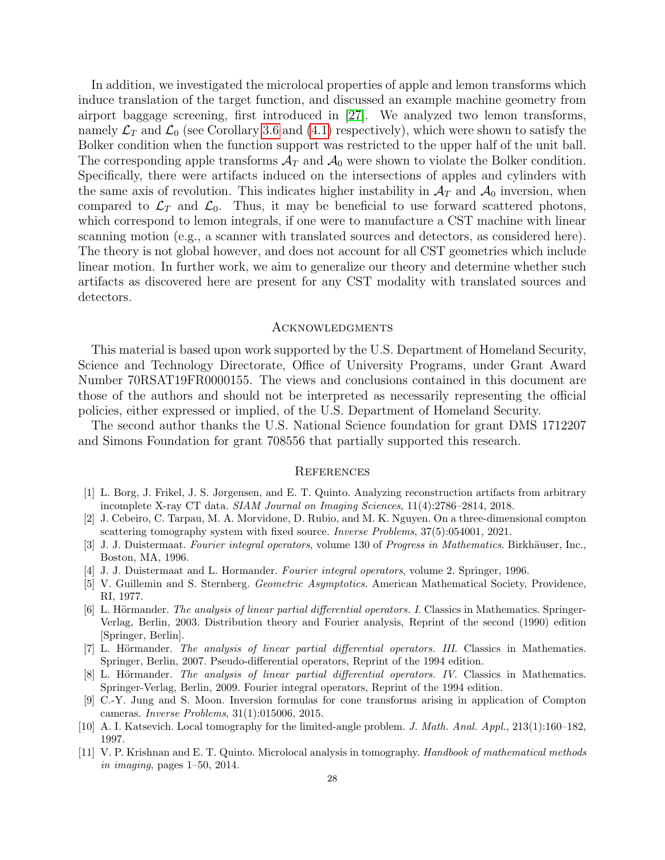In addition, we investigated the microlocal properties of apple and lemon transforms which induce translation of the target function, and discussed an example machine geometry from airport baggage screening, first introduced in [\[27\]](#page-28-10). We analyzed two lemon transforms, namely  $\mathcal{L}_T$  and  $\mathcal{L}_0$  (see Corollary [3.6](#page-18-0) and [\(4.1\)](#page-20-2) respectively), which were shown to satisfy the Bolker condition when the function support was restricted to the upper half of the unit ball. The corresponding apple transforms  $A_T$  and  $A_0$  were shown to violate the Bolker condition. Specifically, there were artifacts induced on the intersections of apples and cylinders with the same axis of revolution. This indicates higher instability in  $\mathcal{A}_T$  and  $\mathcal{A}_0$  inversion, when compared to  $\mathcal{L}_T$  and  $\mathcal{L}_0$ . Thus, it may be beneficial to use forward scattered photons, which correspond to lemon integrals, if one were to manufacture a CST machine with linear scanning motion (e.g., a scanner with translated sources and detectors, as considered here). The theory is not global however, and does not account for all CST geometries which include linear motion. In further work, we aim to generalize our theory and determine whether such artifacts as discovered here are present for any CST modality with translated sources and detectors.

#### **ACKNOWLEDGMENTS**

This material is based upon work supported by the U.S. Department of Homeland Security, Science and Technology Directorate, Office of University Programs, under Grant Award Number 70RSAT19FR0000155. The views and conclusions contained in this document are those of the authors and should not be interpreted as necessarily representing the official policies, either expressed or implied, of the U.S. Department of Homeland Security.

The second author thanks the U.S. National Science foundation for grant DMS 1712207 and Simons Foundation for grant 708556 that partially supported this research.

# **REFERENCES**

- <span id="page-27-2"></span>[1] L. Borg, J. Frikel, J. S. Jørgensen, and E. T. Quinto. Analyzing reconstruction artifacts from arbitrary incomplete X-ray CT data. SIAM Journal on Imaging Sciences, 11(4):2786–2814, 2018.
- <span id="page-27-0"></span>[2] J. Cebeiro, C. Tarpau, M. A. Morvidone, D. Rubio, and M. K. Nguyen. On a three-dimensional compton scattering tomography system with fixed source. Inverse Problems, 37(5):054001, 2021.
- <span id="page-27-9"></span>[3] J. J. Duistermaat. Fourier integral operators, volume 130 of Progress in Mathematics. Birkhäuser, Inc., Boston, MA, 1996.
- <span id="page-27-6"></span>[4] J. J. Duistermaat and L. Hormander. Fourier integral operators, volume 2. Springer, 1996.
- <span id="page-27-10"></span>[5] V. Guillemin and S. Sternberg. Geometric Asymptotics. American Mathematical Society, Providence, RI, 1977.
- <span id="page-27-5"></span>[6] L. Hörmander. The analysis of linear partial differential operators. I. Classics in Mathematics. Springer-Verlag, Berlin, 2003. Distribution theory and Fourier analysis, Reprint of the second (1990) edition [Springer, Berlin].
- <span id="page-27-7"></span>[7] L. Hörmander. The analysis of linear partial differential operators. III. Classics in Mathematics. Springer, Berlin, 2007. Pseudo-differential operators, Reprint of the 1994 edition.
- <span id="page-27-8"></span>[8] L. Hörmander. The analysis of linear partial differential operators. IV. Classics in Mathematics. Springer-Verlag, Berlin, 2009. Fourier integral operators, Reprint of the 1994 edition.
- <span id="page-27-1"></span>[9] C.-Y. Jung and S. Moon. Inversion formulas for cone transforms arising in application of Compton cameras. Inverse Problems, 31(1):015006, 2015.
- <span id="page-27-3"></span>[10] A. I. Katsevich. Local tomography for the limited-angle problem. J. Math. Anal. Appl., 213(1):160–182, 1997.
- <span id="page-27-4"></span>[11] V. P. Krishnan and E. T. Quinto. Microlocal analysis in tomography. Handbook of mathematical methods in imaging, pages 1–50, 2014.